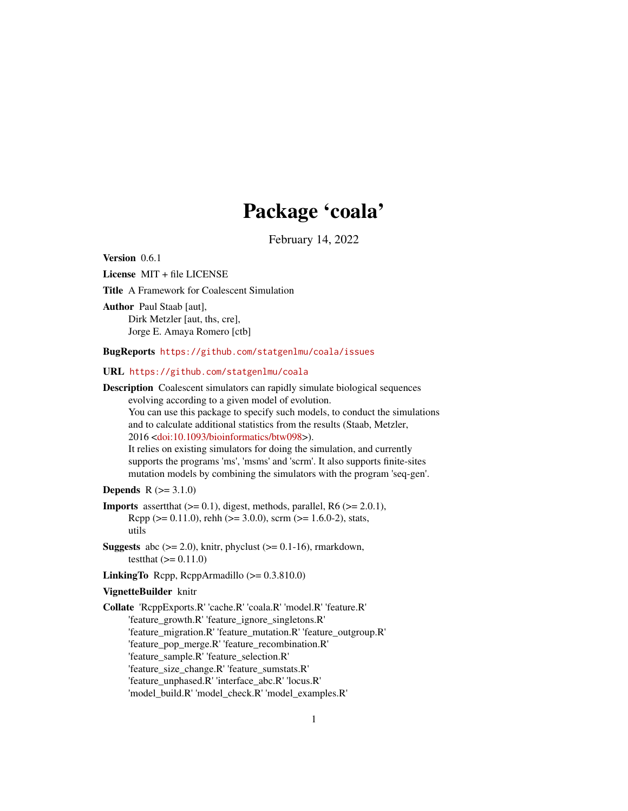## Package 'coala'

February 14, 2022

<span id="page-0-0"></span>Version 0.6.1

License MIT + file LICENSE

Title A Framework for Coalescent Simulation

Author Paul Staab [aut], Dirk Metzler [aut, ths, cre], Jorge E. Amaya Romero [ctb]

#### BugReports <https://github.com/statgenlmu/coala/issues>

URL <https://github.com/statgenlmu/coala>

Description Coalescent simulators can rapidly simulate biological sequences evolving according to a given model of evolution. You can use this package to specify such models, to conduct the simulations and to calculate additional statistics from the results (Staab, Metzler, 2016 [<doi:10.1093/bioinformatics/btw098>](https://doi.org/10.1093/bioinformatics/btw098)). It relies on existing simulators for doing the simulation, and currently supports the programs 'ms', 'msms' and 'scrm'. It also supports finite-sites

mutation models by combining the simulators with the program 'seq-gen'.

**Depends**  $R (= 3.1.0)$ 

- **Imports** assert that  $(>= 0.1)$ , digest, methods, parallel, R6  $(>= 2.0.1)$ , Rcpp ( $> = 0.11.0$ ), rehh ( $> = 3.0.0$ ), scrm ( $> = 1.6.0-2$ ), stats, utils
- **Suggests** abc  $(>= 2.0)$ , knitr, phyclust  $(>= 0.1-16)$ , rmarkdown, testthat  $(>= 0.11.0)$
- **LinkingTo** Rcpp, RcppArmadillo  $(>= 0.3.810.0)$

## VignetteBuilder knitr

Collate 'RcppExports.R' 'cache.R' 'coala.R' 'model.R' 'feature.R' 'feature\_growth.R' 'feature\_ignore\_singletons.R' 'feature\_migration.R' 'feature\_mutation.R' 'feature\_outgroup.R' 'feature\_pop\_merge.R' 'feature\_recombination.R' 'feature\_sample.R' 'feature\_selection.R' 'feature\_size\_change.R' 'feature\_sumstats.R' 'feature\_unphased.R' 'interface\_abc.R' 'locus.R' 'model\_build.R' 'model\_check.R' 'model\_examples.R'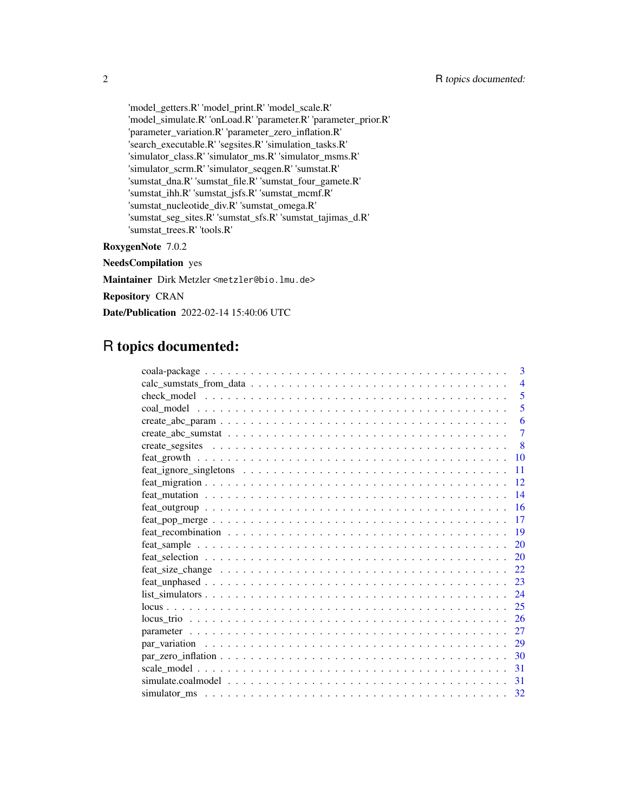'model\_getters.R' 'model\_print.R' 'model\_scale.R' 'model\_simulate.R' 'onLoad.R' 'parameter.R' 'parameter\_prior.R' 'parameter\_variation.R' 'parameter\_zero\_inflation.R' 'search\_executable.R' 'segsites.R' 'simulation\_tasks.R' 'simulator\_class.R' 'simulator\_ms.R' 'simulator\_msms.R' 'simulator\_scrm.R' 'simulator\_seqgen.R' 'sumstat.R' 'sumstat\_dna.R' 'sumstat\_file.R' 'sumstat\_four\_gamete.R' 'sumstat\_ihh.R' 'sumstat\_jsfs.R' 'sumstat\_mcmf.R' 'sumstat\_nucleotide\_div.R' 'sumstat\_omega.R' 'sumstat\_seg\_sites.R' 'sumstat\_sfs.R' 'sumstat\_tajimas\_d.R' 'sumstat\_trees.R' 'tools.R'

## RoxygenNote 7.0.2

NeedsCompilation yes

Maintainer Dirk Metzler <metzler@bio.lmu.de>

Repository CRAN

Date/Publication 2022-02-14 15:40:06 UTC

## R topics documented:

| 3                                                                                                                    |
|----------------------------------------------------------------------------------------------------------------------|
| $\overline{4}$                                                                                                       |
| 5                                                                                                                    |
| 5                                                                                                                    |
| 6                                                                                                                    |
| $\overline{7}$                                                                                                       |
| $\mathbf{8}$                                                                                                         |
| 10                                                                                                                   |
| $feat\_ignore\_singletons \dots \dots \dots \dots \dots \dots \dots \dots \dots \dots \dots \dots \dots \dots$<br>11 |
| 12                                                                                                                   |
| 14                                                                                                                   |
| 16                                                                                                                   |
| 17<br>$feat\_pop\_merge \ldots \ldots \ldots \ldots \ldots \ldots \ldots \ldots \ldots \ldots \ldots \ldots$         |
| 19                                                                                                                   |
| 20                                                                                                                   |
| 20                                                                                                                   |
| 22                                                                                                                   |
| 23                                                                                                                   |
| $list\_simulators \ldots \ldots \ldots \ldots \ldots \ldots \ldots \ldots \ldots \ldots \ldots \ldots \ldots$<br>24  |
| 25                                                                                                                   |
| 26                                                                                                                   |
| 27                                                                                                                   |
| 29                                                                                                                   |
| 30                                                                                                                   |
| 31                                                                                                                   |
| 31                                                                                                                   |
| simulator ms $\dots \dots \dots \dots \dots \dots \dots \dots \dots \dots \dots \dots \dots \dots \dots \dots \dots$ |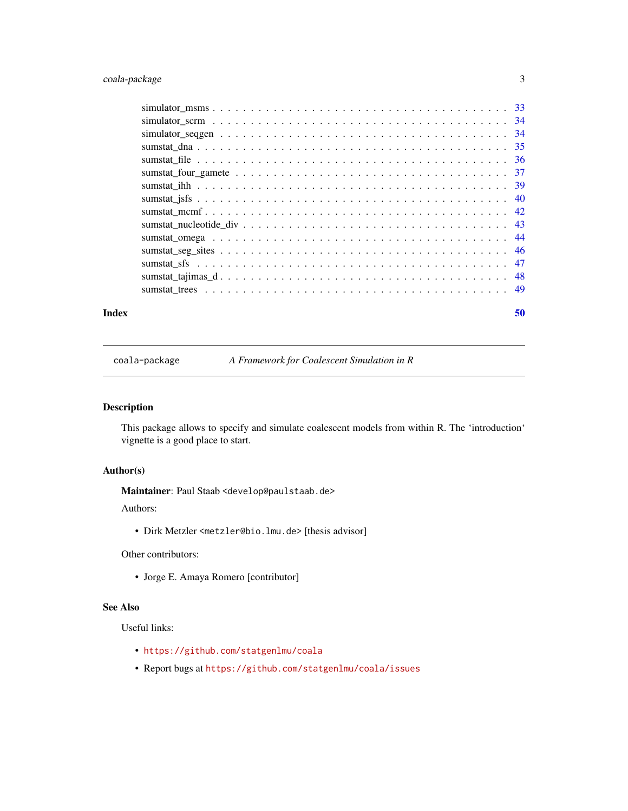## <span id="page-2-0"></span>coala-package 3

| Index | 50 |
|-------|----|

coala-package *A Framework for Coalescent Simulation in R*

## Description

This package allows to specify and simulate coalescent models from within R. The 'introduction' vignette is a good place to start.

## Author(s)

Maintainer: Paul Staab <develop@paulstaab.de>

Authors:

• Dirk Metzler <metzler@bio.lmu.de> [thesis advisor]

Other contributors:

• Jorge E. Amaya Romero [contributor]

## See Also

Useful links:

- <https://github.com/statgenlmu/coala>
- Report bugs at <https://github.com/statgenlmu/coala/issues>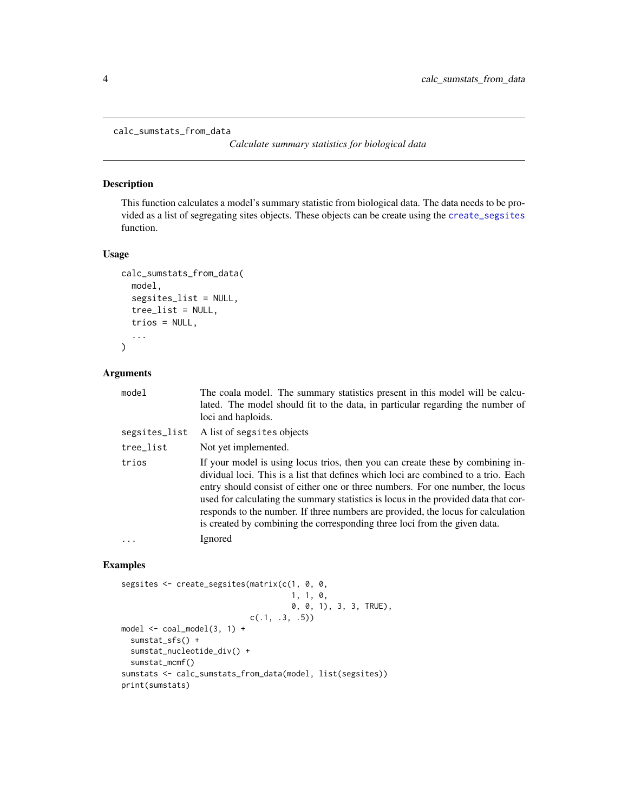```
calc_sumstats_from_data
```
*Calculate summary statistics for biological data*

## Description

This function calculates a model's summary statistic from biological data. The data needs to be provided as a list of segregating sites objects. These objects can be create using the [create\\_segsites](#page-7-1) function.

#### Usage

```
calc_sumstats_from_data(
  model,
  segsites_list = NULL,
  tree_list = NULL,
  trios = NULL,
  ...
\mathcal{L}
```
## Arguments

| model         | The coala model. The summary statistics present in this model will be calcu-<br>lated. The model should fit to the data, in particular regarding the number of<br>loci and haploids.                                                                                                                                                                                                                                                                                                                           |
|---------------|----------------------------------------------------------------------------------------------------------------------------------------------------------------------------------------------------------------------------------------------------------------------------------------------------------------------------------------------------------------------------------------------------------------------------------------------------------------------------------------------------------------|
| segsites_list | A list of segsites objects                                                                                                                                                                                                                                                                                                                                                                                                                                                                                     |
| tree_list     | Not yet implemented.                                                                                                                                                                                                                                                                                                                                                                                                                                                                                           |
| trios         | If your model is using locus trios, then you can create these by combining in-<br>dividual loci. This is a list that defines which loci are combined to a trio. Each<br>entry should consist of either one or three numbers. For one number, the locus<br>used for calculating the summary statistics is locus in the provided data that cor-<br>responds to the number. If three numbers are provided, the locus for calculation<br>is created by combining the corresponding three loci from the given data. |
| .             | Ignored                                                                                                                                                                                                                                                                                                                                                                                                                                                                                                        |
|               |                                                                                                                                                                                                                                                                                                                                                                                                                                                                                                                |

```
segsites <- create_segsites(matrix(c(1, 0, 0,
                                     1, 1, 0,
                                     0, 0, 1), 3, 3, TRUE),
                            c(.1, .3, .5))
model <- coal_model(3, 1) +
  sumstat_sfs() +
  sumstat_nucleotide_div() +
  sumstat_mcmf()
sumstats <- calc_sumstats_from_data(model, list(segsites))
print(sumstats)
```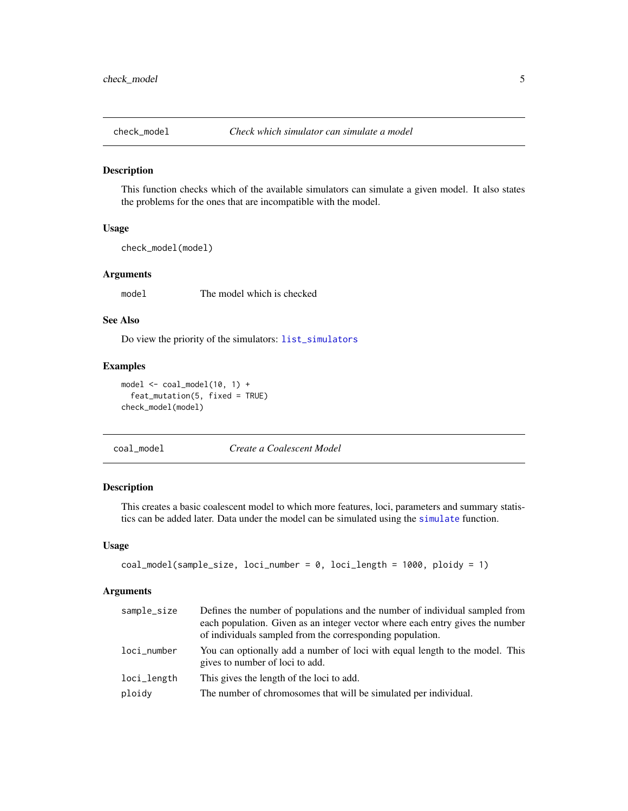<span id="page-4-1"></span><span id="page-4-0"></span>

#### Description

This function checks which of the available simulators can simulate a given model. It also states the problems for the ones that are incompatible with the model.

#### Usage

check\_model(model)

#### Arguments

model The model which is checked

## See Also

Do view the priority of the simulators: [list\\_simulators](#page-23-1)

## Examples

```
model <- coal_model(10, 1) +
  feat_mutation(5, fixed = TRUE)
check_model(model)
```
<span id="page-4-2"></span>coal\_model *Create a Coalescent Model*

## Description

This creates a basic coalescent model to which more features, loci, parameters and summary statistics can be added later. Data under the model can be simulated using the [simulate](#page-30-1) function.

## Usage

```
coal_model(sample_size, loci_number = 0, loci_length = 1000, ploidy = 1)
```
## Arguments

| sample_size | Defines the number of populations and the number of individual sampled from<br>each population. Given as an integer vector where each entry gives the number<br>of individuals sampled from the corresponding population. |
|-------------|---------------------------------------------------------------------------------------------------------------------------------------------------------------------------------------------------------------------------|
| loci_number | You can optionally add a number of loci with equal length to the model. This<br>gives to number of loci to add.                                                                                                           |
| loci_length | This gives the length of the loci to add.                                                                                                                                                                                 |
| ploidy      | The number of chromosomes that will be simulated per individual.                                                                                                                                                          |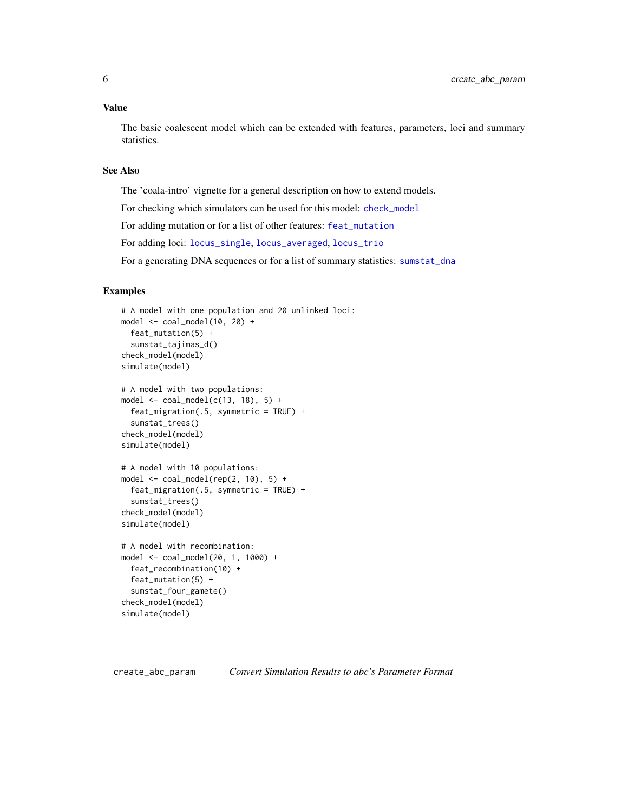#### <span id="page-5-0"></span>Value

The basic coalescent model which can be extended with features, parameters, loci and summary statistics.

## See Also

The 'coala-intro' vignette for a general description on how to extend models.

For checking which simulators can be used for this model: [check\\_model](#page-4-1)

For adding mutation or for a list of other features: [feat\\_mutation](#page-13-1)

For adding loci: [locus\\_single](#page-24-1), [locus\\_averaged](#page-24-1), [locus\\_trio](#page-25-1)

For a generating DNA sequences or for a list of summary statistics: [sumstat\\_dna](#page-34-1)

## Examples

```
# A model with one population and 20 unlinked loci:
model \le coal_model(10, 20) +
  feat_mutation(5) +
  sumstat_tajimas_d()
check_model(model)
simulate(model)
# A model with two populations:
model \le coal_model(c(13, 18), 5) +
  feat_migration(.5, symmetric = TRUE) +
  sumstat_trees()
check_model(model)
simulate(model)
# A model with 10 populations:
model \le coal_model(rep(2, 10), 5) +
  feat_migration(.5, symmetric = TRUE) +
  sumstat_trees()
check_model(model)
simulate(model)
# A model with recombination:
model <- coal_model(20, 1, 1000) +
  feat_recombination(10) +
  feat_mutation(5) +
  sumstat_four_gamete()
check_model(model)
simulate(model)
```
<span id="page-5-1"></span>create\_abc\_param *Convert Simulation Results to abc's Parameter Format*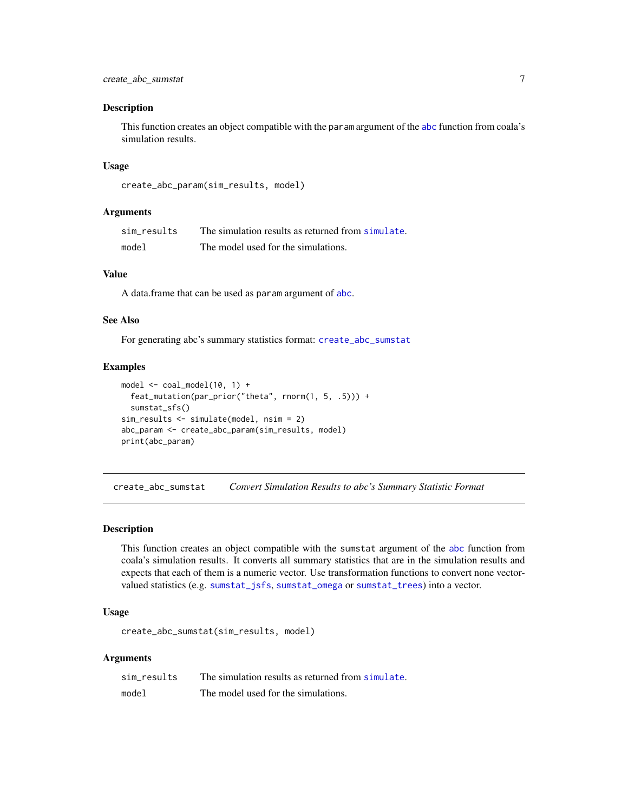#### <span id="page-6-0"></span>Description

This function creates an object compatible with the param argument of the [abc](#page-0-0) function from coala's simulation results.

#### Usage

```
create_abc_param(sim_results, model)
```
### Arguments

| sim results | The simulation results as returned from simulate. |
|-------------|---------------------------------------------------|
| model       | The model used for the simulations.               |

#### Value

A data.frame that can be used as param argument of [abc](#page-0-0).

#### See Also

For generating abc's summary statistics format: [create\\_abc\\_sumstat](#page-6-1)

#### Examples

```
model \leq coal_model(10, 1) +
  feat_mutation(par_prior("theta", rnorm(1, 5, .5))) +
  sumstat_sfs()
sim_results <- simulate(model, nsim = 2)
abc_param <- create_abc_param(sim_results, model)
print(abc_param)
```
<span id="page-6-1"></span>create\_abc\_sumstat *Convert Simulation Results to abc's Summary Statistic Format*

#### Description

This function creates an object compatible with the sumstat argument of the [abc](#page-0-0) function from coala's simulation results. It converts all summary statistics that are in the simulation results and expects that each of them is a numeric vector. Use transformation functions to convert none vectorvalued statistics (e.g. [sumstat\\_jsfs](#page-39-1), [sumstat\\_omega](#page-43-1) or [sumstat\\_trees](#page-48-1)) into a vector.

## Usage

create\_abc\_sumstat(sim\_results, model)

## Arguments

| sim results | The simulation results as returned from simulate. |
|-------------|---------------------------------------------------|
| model       | The model used for the simulations.               |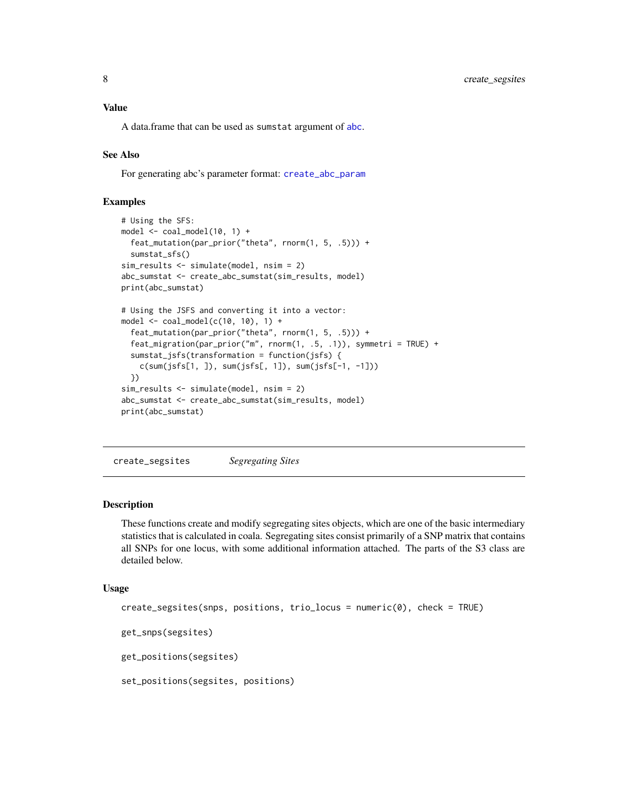## <span id="page-7-0"></span>Value

A data.frame that can be used as sumstat argument of [abc](#page-0-0).

## See Also

For generating abc's parameter format: [create\\_abc\\_param](#page-5-1)

## Examples

```
# Using the SFS:
model \leq - coal_model(10, 1) +feat_mutation(par_prior("theta", rnorm(1, 5, .5))) +
  sumstat_sfs()
sim_results <- simulate(model, nsim = 2)
abc_sumstat <- create_abc_sumstat(sim_results, model)
print(abc_sumstat)
# Using the JSFS and converting it into a vector:
model \le coal_model(c(10, 10), 1) +
  feat_mutation(par_prior("theta", rnorm(1, 5, .5))) +
  feat_migration(par_prior("m", rnorm(1, .5, .1)), symmetri = TRUE) +
  sumstat_jsfs(transformation = function(jsfs) {
    c(sum(jsfs[1, ]), sum(jsfs[, 1]), sum(jsfs[-1, -1]))
  })
sim_results <- simulate(model, nsim = 2)
abc_sumstat <- create_abc_sumstat(sim_results, model)
print(abc_sumstat)
```
<span id="page-7-1"></span>create\_segsites *Segregating Sites*

## Description

These functions create and modify segregating sites objects, which are one of the basic intermediary statistics that is calculated in coala. Segregating sites consist primarily of a SNP matrix that contains all SNPs for one locus, with some additional information attached. The parts of the S3 class are detailed below.

#### Usage

```
create_segsites(snps, positions, trio_locus = numeric(0), check = TRUE)
get_snps(segsites)
get_positions(segsites)
set_positions(segsites, positions)
```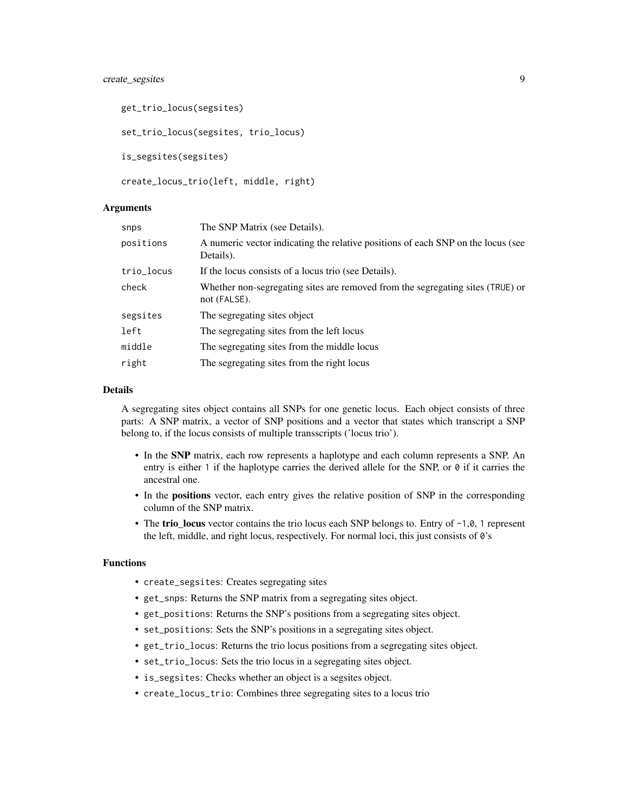## create\_segsites 9

```
get_trio_locus(segsites)
set_trio_locus(segsites, trio_locus)
is_segsites(segsites)
create_locus_trio(left, middle, right)
```
#### Arguments

| snps       | The SNP Matrix (see Details).                                                                  |
|------------|------------------------------------------------------------------------------------------------|
| positions  | A numeric vector indicating the relative positions of each SNP on the locus (see<br>Details).  |
| trio_locus | If the locus consists of a locus trio (see Details).                                           |
| check      | Whether non-segregating sites are removed from the segregating sites (TRUE) or<br>not (FALSE). |
| segsites   | The segregating sites object                                                                   |
| left       | The segregating sites from the left locus                                                      |
| middle     | The segregating sites from the middle locus                                                    |
| right      | The segregating sites from the right locus                                                     |
|            |                                                                                                |

## Details

A segregating sites object contains all SNPs for one genetic locus. Each object consists of three parts: A SNP matrix, a vector of SNP positions and a vector that states which transcript a SNP belong to, if the locus consists of multiple transscripts ('locus trio').

- In the SNP matrix, each row represents a haplotype and each column represents a SNP. An entry is either 1 if the haplotype carries the derived allele for the SNP, or  $\theta$  if it carries the ancestral one.
- In the positions vector, each entry gives the relative position of SNP in the corresponding column of the SNP matrix.
- The trio\_locus vector contains the trio locus each SNP belongs to. Entry of -1,0, 1 represent the left, middle, and right locus, respectively. For normal loci, this just consists of 0's

## Functions

- create\_segsites: Creates segregating sites
- get\_snps: Returns the SNP matrix from a segregating sites object.
- get\_positions: Returns the SNP's positions from a segregating sites object.
- set\_positions: Sets the SNP's positions in a segregating sites object.
- get\_trio\_locus: Returns the trio locus positions from a segregating sites object.
- set\_trio\_locus: Sets the trio locus in a segregating sites object.
- is\_segsites: Checks whether an object is a segsites object.
- create\_locus\_trio: Combines three segregating sites to a locus trio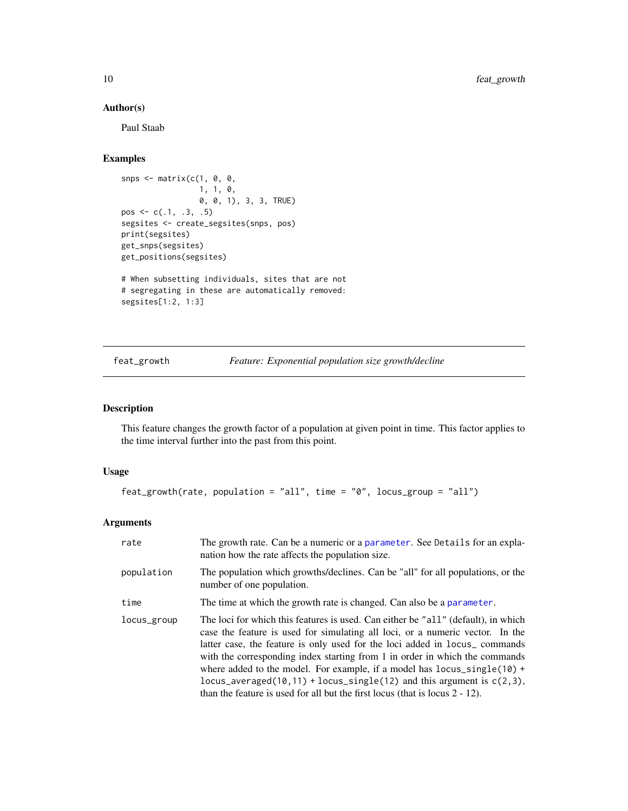## Author(s)

Paul Staab

## Examples

```
snps \leq matrix(c(1, 0, 0,
                 1, 1, 0,
                 0, 0, 1), 3, 3, TRUE)
pos \leq -c(.1, .3, .5)segsites <- create_segsites(snps, pos)
print(segsites)
get_snps(segsites)
get_positions(segsites)
# When subsetting individuals, sites that are not
# segregating in these are automatically removed:
segsites[1:2, 1:3]
```
<span id="page-9-1"></span>feat\_growth *Feature: Exponential population size growth/decline*

## Description

This feature changes the growth factor of a population at given point in time. This factor applies to the time interval further into the past from this point.

#### Usage

```
feat_growth(rate, population = "all", time = "0", locus_group = "all")
```
## Arguments

| rate        | The growth rate. Can be a numeric or a parameter. See Details for an expla-<br>nation how the rate affects the population size.                                                                                                                                                                                                                                                                                                                                                                                                                                                            |
|-------------|--------------------------------------------------------------------------------------------------------------------------------------------------------------------------------------------------------------------------------------------------------------------------------------------------------------------------------------------------------------------------------------------------------------------------------------------------------------------------------------------------------------------------------------------------------------------------------------------|
| population  | The population which growths/declines. Can be "all" for all populations, or the<br>number of one population.                                                                                                                                                                                                                                                                                                                                                                                                                                                                               |
| time        | The time at which the growth rate is changed. Can also be a parameter.                                                                                                                                                                                                                                                                                                                                                                                                                                                                                                                     |
| locus_group | The loci for which this features is used. Can either be "all" (default), in which<br>case the feature is used for simulating all loci, or a numeric vector. In the<br>latter case, the feature is only used for the loci added in locus <sub>-</sub> commands<br>with the corresponding index starting from 1 in order in which the commands<br>where added to the model. For example, if a model has $locus\_single(10)$ +<br>locus_averaged(10,11) + locus_single(12) and this argument is $c(2,3)$ ,<br>than the feature is used for all but the first locus (that is locus $2 - 12$ ). |

<span id="page-9-0"></span>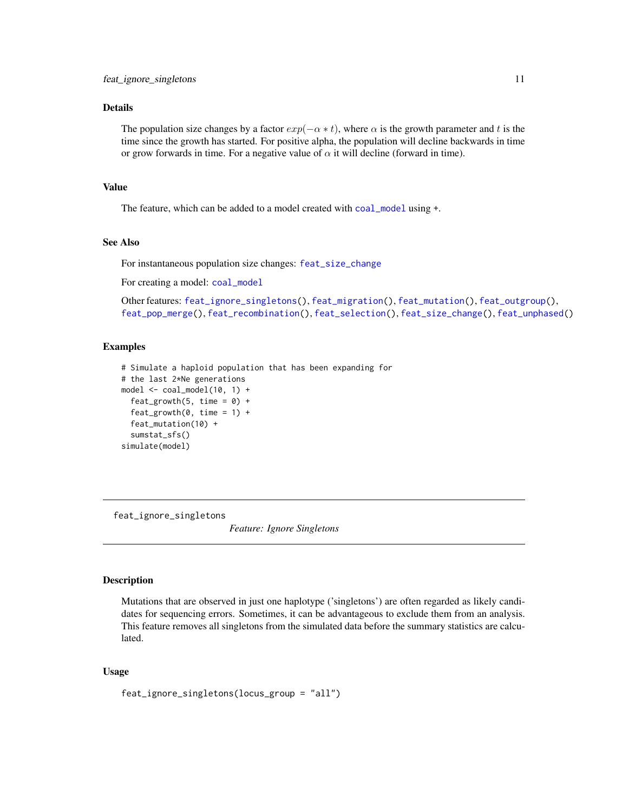## <span id="page-10-0"></span>Details

The population size changes by a factor  $exp(-\alpha * t)$ , where  $\alpha$  is the growth parameter and t is the time since the growth has started. For positive alpha, the population will decline backwards in time or grow forwards in time. For a negative value of  $\alpha$  it will decline (forward in time).

## Value

The feature, which can be added to a model created with [coal\\_model](#page-4-2) using +.

## See Also

For instantaneous population size changes: [feat\\_size\\_change](#page-21-1)

For creating a model: [coal\\_model](#page-4-2)

Other features: [feat\\_ignore\\_singletons\(](#page-10-1)), [feat\\_migration\(](#page-11-1)), [feat\\_mutation\(](#page-13-1)), [feat\\_outgroup\(](#page-15-1)), [feat\\_pop\\_merge\(](#page-16-1)), [feat\\_recombination\(](#page-18-1)), [feat\\_selection\(](#page-19-1)), [feat\\_size\\_change\(](#page-21-1)), [feat\\_unphased\(](#page-22-1))

## Examples

```
# Simulate a haploid population that has been expanding for
# the last 2*Ne generations
model \leq - coal_model(10, 1) +feat_growth(5, time = 0) +
  feat\_growth(0, time = 1) +feat_mutation(10) +
  sumstat_sfs()
simulate(model)
```
<span id="page-10-1"></span>feat\_ignore\_singletons

*Feature: Ignore Singletons*

#### Description

Mutations that are observed in just one haplotype ('singletons') are often regarded as likely candidates for sequencing errors. Sometimes, it can be advantageous to exclude them from an analysis. This feature removes all singletons from the simulated data before the summary statistics are calculated.

## Usage

feat\_ignore\_singletons(locus\_group = "all")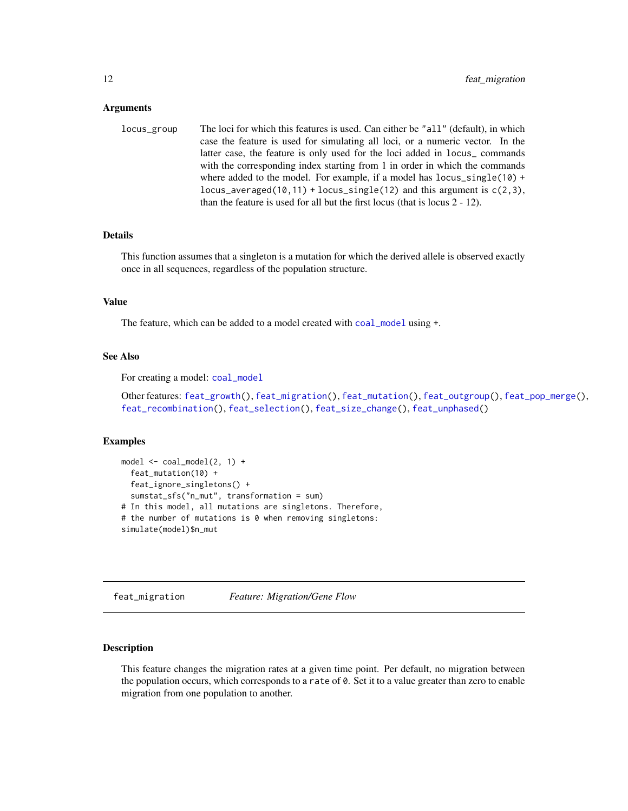#### <span id="page-11-0"></span>Arguments

| locus_group | The loci for which this features is used. Can either be "all" (default), in which |
|-------------|-----------------------------------------------------------------------------------|
|             | case the feature is used for simulating all loci, or a numeric vector. In the     |
|             | latter case, the feature is only used for the loci added in locus_commands        |
|             | with the corresponding index starting from 1 in order in which the commands       |
|             | where added to the model. For example, if a model has $locus\_single(10)$ +       |
|             | locus_averaged(10,11) + locus_single(12) and this argument is $c(2,3)$ ,          |
|             | than the feature is used for all but the first locus (that is locus $2 - 12$ ).   |

## Details

This function assumes that a singleton is a mutation for which the derived allele is observed exactly once in all sequences, regardless of the population structure.

#### Value

The feature, which can be added to a model created with [coal\\_model](#page-4-2) using +.

## See Also

For creating a model: [coal\\_model](#page-4-2)

Other features: [feat\\_growth\(](#page-9-1)), [feat\\_migration\(](#page-11-1)), [feat\\_mutation\(](#page-13-1)), [feat\\_outgroup\(](#page-15-1)), [feat\\_pop\\_merge\(](#page-16-1)), [feat\\_recombination\(](#page-18-1)), [feat\\_selection\(](#page-19-1)), [feat\\_size\\_change\(](#page-21-1)), [feat\\_unphased\(](#page-22-1))

### Examples

```
model \leq - coal_model(2, 1) +feat_mutation(10) +
  feat_ignore_singletons() +
  sumstat_sfs("n_mut", transformation = sum)
# In this model, all mutations are singletons. Therefore,
# the number of mutations is 0 when removing singletons:
simulate(model)$n_mut
```
<span id="page-11-1"></span>feat\_migration *Feature: Migration/Gene Flow*

#### Description

This feature changes the migration rates at a given time point. Per default, no migration between the population occurs, which corresponds to a rate of 0. Set it to a value greater than zero to enable migration from one population to another.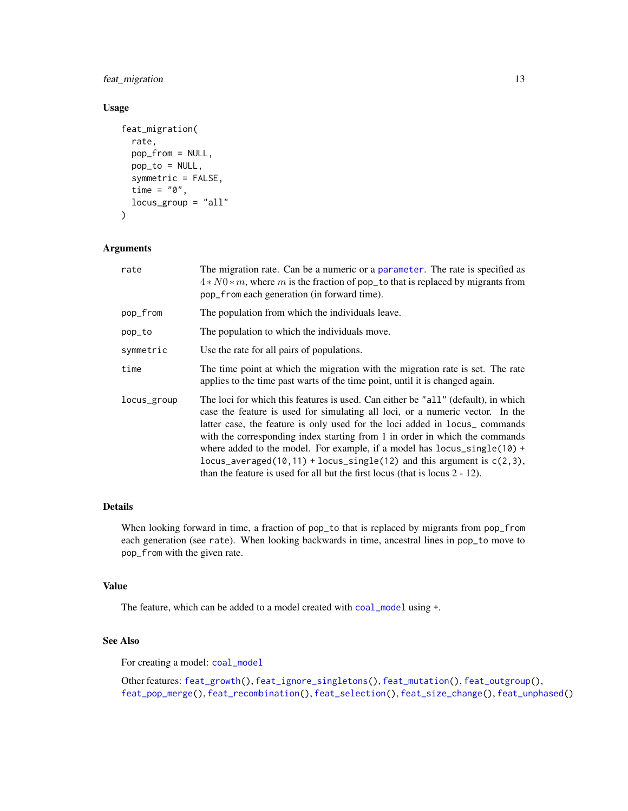<span id="page-12-0"></span>feat\_migration 13

## Usage

```
feat_migration(
  rate,
  pop_from = NULL,
  pop_to = NULL,
  symmetric = FALSE,
  time = "\theta",locus_group = "all"
\mathcal{L}
```
## Arguments

| rate        | The migration rate. Can be a numeric or a parameter. The rate is specified as<br>$4*N0*m$ , where m is the fraction of pop_to that is replaced by migrants from<br>pop_from each generation (in forward time).                                                                                                                                                                                                                                                                                                                                                                             |
|-------------|--------------------------------------------------------------------------------------------------------------------------------------------------------------------------------------------------------------------------------------------------------------------------------------------------------------------------------------------------------------------------------------------------------------------------------------------------------------------------------------------------------------------------------------------------------------------------------------------|
| pop_from    | The population from which the individuals leave.                                                                                                                                                                                                                                                                                                                                                                                                                                                                                                                                           |
| pop_to      | The population to which the individuals move.                                                                                                                                                                                                                                                                                                                                                                                                                                                                                                                                              |
| symmetric   | Use the rate for all pairs of populations.                                                                                                                                                                                                                                                                                                                                                                                                                                                                                                                                                 |
| time        | The time point at which the migration with the migration rate is set. The rate<br>applies to the time past warts of the time point, until it is changed again.                                                                                                                                                                                                                                                                                                                                                                                                                             |
| locus_group | The loci for which this features is used. Can either be "all" (default), in which<br>case the feature is used for simulating all loci, or a numeric vector. In the<br>latter case, the feature is only used for the loci added in locus <sub>-</sub> commands<br>with the corresponding index starting from 1 in order in which the commands<br>where added to the model. For example, if a model has $locus\_single(10)$ +<br>locus_averaged(10,11) + locus_single(12) and this argument is $c(2,3)$ ,<br>than the feature is used for all but the first locus (that is locus $2 - 12$ ). |

## Details

When looking forward in time, a fraction of pop\_to that is replaced by migrants from pop\_from each generation (see rate). When looking backwards in time, ancestral lines in pop\_to move to pop\_from with the given rate.

## Value

The feature, which can be added to a model created with [coal\\_model](#page-4-2) using +.

## See Also

For creating a model: [coal\\_model](#page-4-2)

Other features: [feat\\_growth\(](#page-9-1)), [feat\\_ignore\\_singletons\(](#page-10-1)), [feat\\_mutation\(](#page-13-1)), [feat\\_outgroup\(](#page-15-1)), [feat\\_pop\\_merge\(](#page-16-1)), [feat\\_recombination\(](#page-18-1)), [feat\\_selection\(](#page-19-1)), [feat\\_size\\_change\(](#page-21-1)), [feat\\_unphased\(](#page-22-1))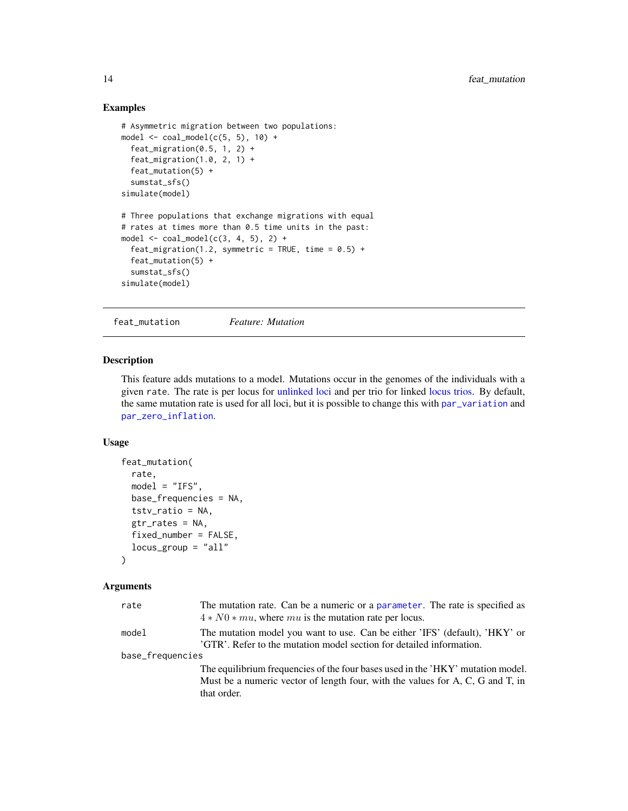## Examples

```
# Asymmetric migration between two populations:
model \le coal_model(c(5, 5), 10) +
  feat_migration(0.5, 1, 2) +
  feat_migration(1.0, 2, 1) +
  feat_mutation(5) +
  sumstat_sfs()
simulate(model)
# Three populations that exchange migrations with equal
# rates at times more than 0.5 time units in the past:
model \le coal_model(c(3, 4, 5), 2) +
  feat_migration(1.2, symmetric = TRUE, time = 0.5) +
  feat_mutation(5) +
  sumstat_sfs()
simulate(model)
```
<span id="page-13-1"></span>feat\_mutation *Feature: Mutation*

## Description

This feature adds mutations to a model. Mutations occur in the genomes of the individuals with a given rate. The rate is per locus for [unlinked loci](#page-24-2) and per trio for linked [locus trios.](#page-25-1) By default, the same mutation rate is used for all loci, but it is possible to change this with [par\\_variation](#page-28-1) and [par\\_zero\\_inflation](#page-29-1).

## Usage

```
feat_mutation(
  rate,
 model = "IFS",
 base_frequencies = NA,
  tstv_ratio = NA,
 gtr_rates = NA,
 fixed_number = FALSE,
 locus_group = "all"
\lambda
```
#### Arguments

| model<br>'GTR'. Refer to the mutation model section for detailed information.<br>base_frequencies<br>that order. | rate | The mutation rate. Can be a numeric or a parameter. The rate is specified as<br>$4*N0*mu$ , where mu is the mutation rate per locus.                              |  |
|------------------------------------------------------------------------------------------------------------------|------|-------------------------------------------------------------------------------------------------------------------------------------------------------------------|--|
|                                                                                                                  |      | The mutation model you want to use. Can be either 'IFS' (default), 'HKY' or                                                                                       |  |
|                                                                                                                  |      |                                                                                                                                                                   |  |
|                                                                                                                  |      | The equilibrium frequencies of the four bases used in the 'HKY' mutation model.<br>Must be a numeric vector of length four, with the values for A, C, G and T, in |  |

<span id="page-13-0"></span>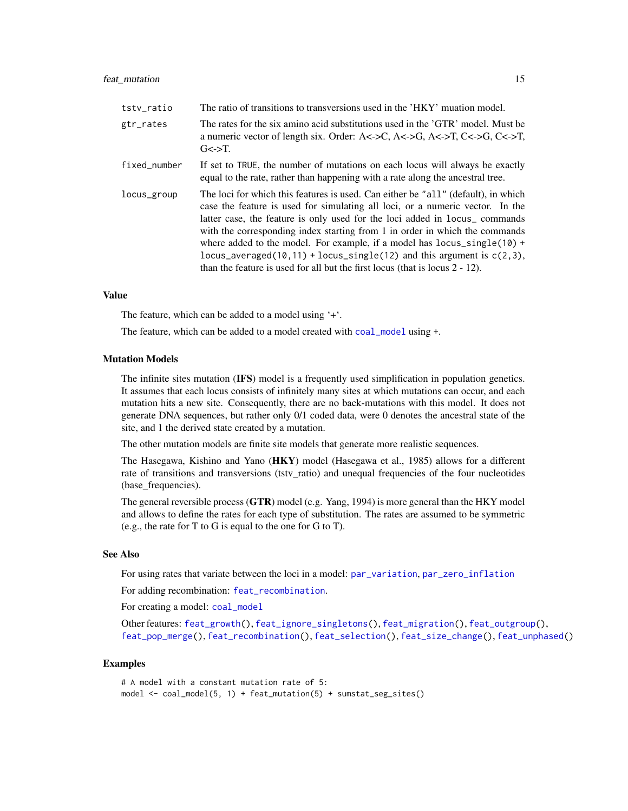<span id="page-14-0"></span>

| tstv_ratio   | The ratio of transitions to transversions used in the 'HKY' muation model.                                                                                                                                                                                                                                                                                                                                                                                                                                                                                                             |
|--------------|----------------------------------------------------------------------------------------------------------------------------------------------------------------------------------------------------------------------------------------------------------------------------------------------------------------------------------------------------------------------------------------------------------------------------------------------------------------------------------------------------------------------------------------------------------------------------------------|
| gtr_rates    | The rates for the six amino acid substitutions used in the 'GTR' model. Must be<br>a numeric vector of length six. Order: A<->C, A<->G, A<->T, C<->G, C<->T,<br>$G \leq \geq T$ .                                                                                                                                                                                                                                                                                                                                                                                                      |
| fixed_number | If set to TRUE, the number of mutations on each locus will always be exactly<br>equal to the rate, rather than happening with a rate along the ancestral tree.                                                                                                                                                                                                                                                                                                                                                                                                                         |
| locus_group  | The loci for which this features is used. Can either be "all" (default), in which<br>case the feature is used for simulating all loci, or a numeric vector. In the<br>latter case, the feature is only used for the loci added in locus_commands<br>with the corresponding index starting from 1 in order in which the commands<br>where added to the model. For example, if a model has $locus\_single(10)$ +<br>locus_averaged( $10, 11$ ) + locus_single( $12$ ) and this argument is $c(2,3)$ ,<br>than the feature is used for all but the first locus (that is locus $2 - 12$ ). |

#### Value

The feature, which can be added to a model using '+'.

The feature, which can be added to a model created with [coal\\_model](#page-4-2) using +.

#### Mutation Models

The infinite sites mutation (IFS) model is a frequently used simplification in population genetics. It assumes that each locus consists of infinitely many sites at which mutations can occur, and each mutation hits a new site. Consequently, there are no back-mutations with this model. It does not generate DNA sequences, but rather only 0/1 coded data, were 0 denotes the ancestral state of the site, and 1 the derived state created by a mutation.

The other mutation models are finite site models that generate more realistic sequences.

The Hasegawa, Kishino and Yano (HKY) model (Hasegawa et al., 1985) allows for a different rate of transitions and transversions (tstv\_ratio) and unequal frequencies of the four nucleotides (base\_frequencies).

The general reversible process  $(GTR)$  model (e.g. Yang, 1994) is more general than the HKY model and allows to define the rates for each type of substitution. The rates are assumed to be symmetric (e.g., the rate for T to G is equal to the one for G to T).

#### See Also

For using rates that variate between the loci in a model: [par\\_variation](#page-28-1), [par\\_zero\\_inflation](#page-29-1)

For adding recombination: [feat\\_recombination](#page-18-1).

For creating a model: [coal\\_model](#page-4-2)

Other features: [feat\\_growth\(](#page-9-1)), [feat\\_ignore\\_singletons\(](#page-10-1)), [feat\\_migration\(](#page-11-1)), [feat\\_outgroup\(](#page-15-1)), [feat\\_pop\\_merge\(](#page-16-1)), [feat\\_recombination\(](#page-18-1)), [feat\\_selection\(](#page-19-1)), [feat\\_size\\_change\(](#page-21-1)), [feat\\_unphased\(](#page-22-1))

```
# A model with a constant mutation rate of 5:
model <- coal_model(5, 1) + feat_mutation(5) + sumstat_seg_sites()
```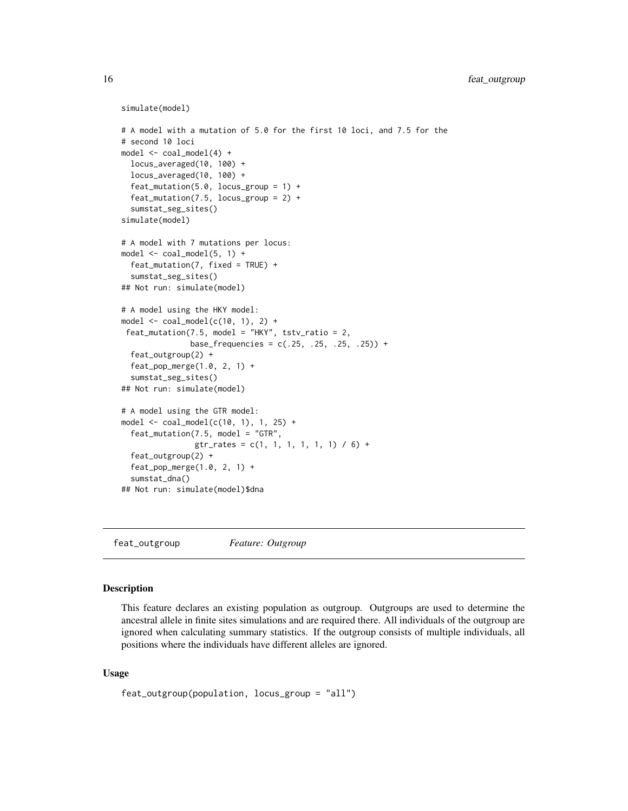```
simulate(model)
```

```
# A model with a mutation of 5.0 for the first 10 loci, and 7.5 for the
# second 10 loci
model <- coal_model(4) +
  locus_averaged(10, 100) +
  locus_averaged(10, 100) +
  feat_mutation(5.0, locus_group = 1) +
  feat_mutation(7.5, locus_group = 2) +
  sumstat_seg_sites()
simulate(model)
# A model with 7 mutations per locus:
model \leq - coal_model(5, 1) +feat_mutation(7, fixed = TRUE) +
  sumstat_seg_sites()
## Not run: simulate(model)
# A model using the HKY model:
model \le coal_model(c(10, 1), 2) +
 feat_mutation(7.5, model = "HKY", tstv\_ratio = 2,base_frequencies = c(.25, .25, .25, .25)) +
  feat_outgroup(2) +
  feat_pop_merge(1.0, 2, 1) +
  sumstat_seg_sites()
## Not run: simulate(model)
# A model using the GTR model:
model <- coal_model(c(10, 1), 1, 25) +
  feat_mutation(7.5, model = "GTR",
                gtr_rates = c(1, 1, 1, 1, 1, 1) / 6) +
  feat_outgroup(2) +
  feat_pop_merge(1.0, 2, 1) +
  sumstat_dna()
## Not run: simulate(model)$dna
```
<span id="page-15-1"></span>feat\_outgroup *Feature: Outgroup*

#### **Description**

This feature declares an existing population as outgroup. Outgroups are used to determine the ancestral allele in finite sites simulations and are required there. All individuals of the outgroup are ignored when calculating summary statistics. If the outgroup consists of multiple individuals, all positions where the individuals have different alleles are ignored.

## Usage

```
feat_outgroup(population, locus_group = "all")
```
<span id="page-15-0"></span>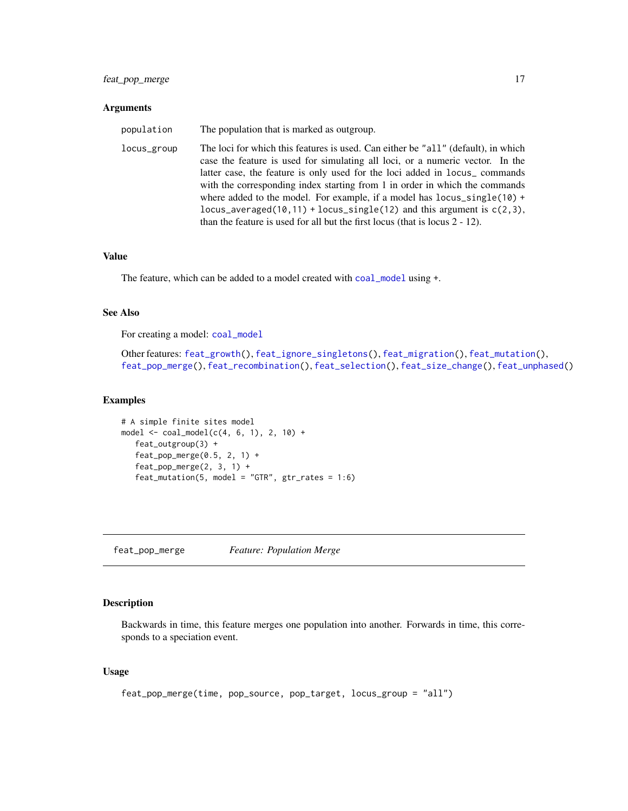## <span id="page-16-0"></span>feat\_pop\_merge 17

#### **Arguments**

| population  | The population that is marked as outgroup.                                                                                                                                                                                                                                                                                                                                                                                                                                                                                                                                     |
|-------------|--------------------------------------------------------------------------------------------------------------------------------------------------------------------------------------------------------------------------------------------------------------------------------------------------------------------------------------------------------------------------------------------------------------------------------------------------------------------------------------------------------------------------------------------------------------------------------|
| locus_group | The loci for which this features is used. Can either be "all" (default), in which<br>case the feature is used for simulating all loci, or a numeric vector. In the<br>latter case, the feature is only used for the loci added in locus_commands<br>with the corresponding index starting from 1 in order in which the commands<br>where added to the model. For example, if a model has locus_single( $10$ ) +<br>locus_averaged(10,11) + locus_single(12) and this argument is $c(2,3)$ ,<br>than the feature is used for all but the first locus (that is locus $2 - 12$ ). |

## Value

The feature, which can be added to a model created with [coal\\_model](#page-4-2) using +.

#### See Also

For creating a model: [coal\\_model](#page-4-2)

Other features: [feat\\_growth\(](#page-9-1)), [feat\\_ignore\\_singletons\(](#page-10-1)), [feat\\_migration\(](#page-11-1)), [feat\\_mutation\(](#page-13-1)), [feat\\_pop\\_merge\(](#page-16-1)), [feat\\_recombination\(](#page-18-1)), [feat\\_selection\(](#page-19-1)), [feat\\_size\\_change\(](#page-21-1)), [feat\\_unphased\(](#page-22-1))

## Examples

```
# A simple finite sites model
model <- coal_model(c(4, 6, 1), 2, 10) +
  feat_outgroup(3) +
  feat_pop_merge(0.5, 2, 1) +
   feat_pop_merge(2, 3, 1) +
   feat_mutation(5, model = "GTR", gr_rates = 1:6)
```
<span id="page-16-1"></span>feat\_pop\_merge *Feature: Population Merge*

## Description

Backwards in time, this feature merges one population into another. Forwards in time, this corresponds to a speciation event.

## Usage

```
feat_pop_merge(time, pop_source, pop_target, locus_group = "all")
```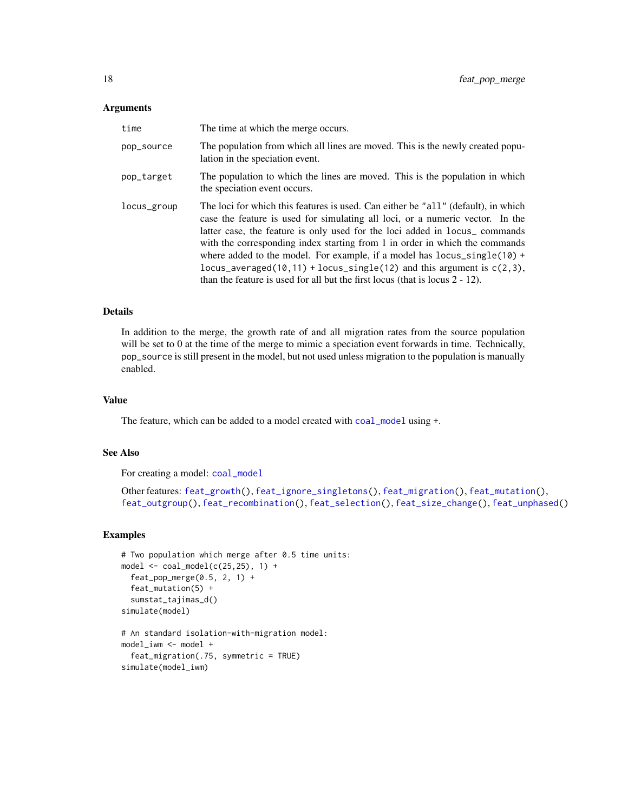#### <span id="page-17-0"></span>**Arguments**

| time        | The time at which the merge occurs.                                                                                                                                                                                                                                                                                                                                                                                                                                                                                                                                           |
|-------------|-------------------------------------------------------------------------------------------------------------------------------------------------------------------------------------------------------------------------------------------------------------------------------------------------------------------------------------------------------------------------------------------------------------------------------------------------------------------------------------------------------------------------------------------------------------------------------|
| pop_source  | The population from which all lines are moved. This is the newly created popu-<br>lation in the speciation event.                                                                                                                                                                                                                                                                                                                                                                                                                                                             |
| pop_target  | The population to which the lines are moved. This is the population in which<br>the speciation event occurs.                                                                                                                                                                                                                                                                                                                                                                                                                                                                  |
| locus_group | The loci for which this features is used. Can either be "all" (default), in which<br>case the feature is used for simulating all loci, or a numeric vector. In the<br>latter case, the feature is only used for the loci added in locus_commands<br>with the corresponding index starting from 1 in order in which the commands<br>where added to the model. For example, if a model has $locus\_single(10)$ +<br>locus_averaged(10,11) + locus_single(12) and this argument is $c(2,3)$ ,<br>than the feature is used for all but the first locus (that is locus $2 - 12$ ). |

## Details

In addition to the merge, the growth rate of and all migration rates from the source population will be set to 0 at the time of the merge to mimic a speciation event forwards in time. Technically, pop\_source is still present in the model, but not used unless migration to the population is manually enabled.

## Value

The feature, which can be added to a model created with [coal\\_model](#page-4-2) using +.

## See Also

For creating a model: [coal\\_model](#page-4-2)

simulate(model\_iwm)

```
Other features: feat_growth(), feat_ignore_singletons(), feat_migration(), feat_mutation(),
feat_outgroup(), feat_recombination(), feat_selection(), feat_size_change(), feat_unphased()
```

```
# Two population which merge after 0.5 time units:
model \leq coal_model(c(25,25), 1) +
  feat\_pop\_merge(0.5, 2, 1) +
  feat_mutation(5) +
  sumstat_tajimas_d()
simulate(model)
# An standard isolation-with-migration model:
model_iwm <- model +
  feat_migration(.75, symmetric = TRUE)
```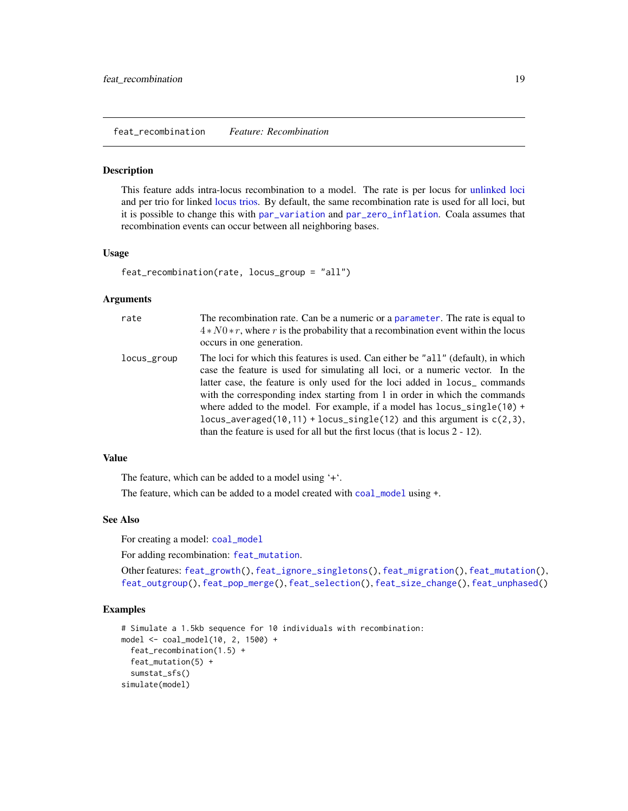<span id="page-18-1"></span><span id="page-18-0"></span>feat\_recombination *Feature: Recombination*

#### Description

This feature adds intra-locus recombination to a model. The rate is per locus for [unlinked loci](#page-24-2) and per trio for linked [locus trios.](#page-25-1) By default, the same recombination rate is used for all loci, but it is possible to change this with [par\\_variation](#page-28-1) and [par\\_zero\\_inflation](#page-29-1). Coala assumes that recombination events can occur between all neighboring bases.

#### Usage

```
feat_recombination(rate, locus_group = "all")
```
#### Arguments

| rate        | The recombination rate. Can be a numeric or a parameter. The rate is equal to<br>$4*N0*r$ , where r is the probability that a recombination event within the locus<br>occurs in one generation.                                                                                                                                                                                                                                                                                                                                                                                     |
|-------------|-------------------------------------------------------------------------------------------------------------------------------------------------------------------------------------------------------------------------------------------------------------------------------------------------------------------------------------------------------------------------------------------------------------------------------------------------------------------------------------------------------------------------------------------------------------------------------------|
| locus_group | The loci for which this features is used. Can either be "all" (default), in which<br>case the feature is used for simulating all loci, or a numeric vector. In the<br>latter case, the feature is only used for the loci added in locus_commands<br>with the corresponding index starting from 1 in order in which the commands<br>where added to the model. For example, if a model has locus_single(10) +<br>locus_averaged( $10, 11$ ) + locus_single( $12$ ) and this argument is $c(2,3)$ ,<br>than the feature is used for all but the first locus (that is locus $2 - 12$ ). |

## Value

The feature, which can be added to a model using '+'.

The feature, which can be added to a model created with [coal\\_model](#page-4-2) using +.

## See Also

For creating a model: [coal\\_model](#page-4-2)

For adding recombination: [feat\\_mutation](#page-13-1).

Other features: [feat\\_growth\(](#page-9-1)), [feat\\_ignore\\_singletons\(](#page-10-1)), [feat\\_migration\(](#page-11-1)), [feat\\_mutation\(](#page-13-1)), [feat\\_outgroup\(](#page-15-1)), [feat\\_pop\\_merge\(](#page-16-1)), [feat\\_selection\(](#page-19-1)), [feat\\_size\\_change\(](#page-21-1)), [feat\\_unphased\(](#page-22-1))

```
# Simulate a 1.5kb sequence for 10 individuals with recombination:
model <- coal_model(10, 2, 1500) +
  feat_recombination(1.5) +
  feat_mutation(5) +
  sumstat_sfs()
simulate(model)
```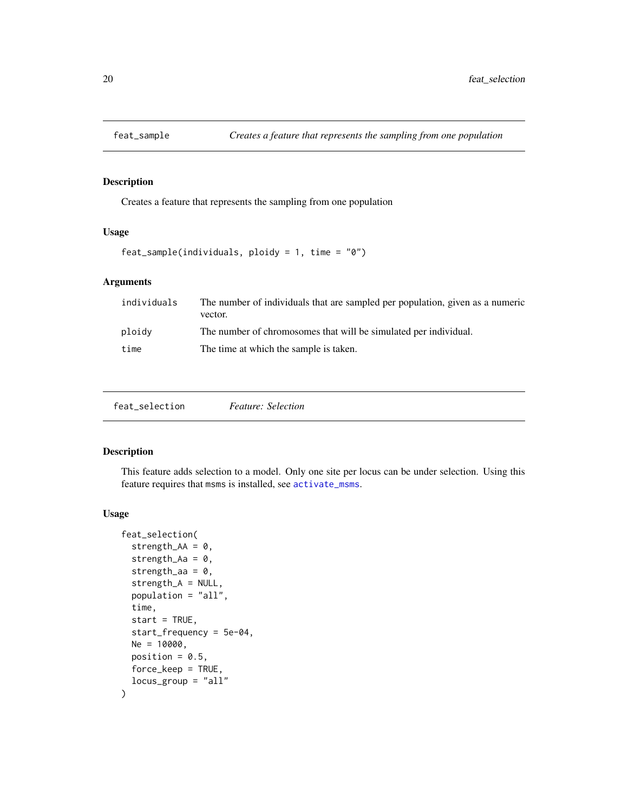<span id="page-19-0"></span>

## Description

Creates a feature that represents the sampling from one population

## Usage

```
feat_sample(individuals, ploidy = 1, time = "0")
```
## Arguments

| The number of individuals that are sampled per population, given as a numeric |
|-------------------------------------------------------------------------------|
|                                                                               |
|                                                                               |
|                                                                               |

<span id="page-19-1"></span>

| feat_selection |
|----------------|
|----------------|

## Description

This feature adds selection to a model. Only one site per locus can be under selection. Using this feature requires that msms is installed, see [activate\\_msms](#page-32-1).

## Usage

```
feat_selection(
  strength_AA = 0,
  strength_Aa = 0,
  strength_aa = 0,
  strength_A = NULL,
 population = "all",
  time,
  start = TRUE,
  start_frequency = 5e-04,
 Ne = 10000,
 position = 0.5,
 force_keep = TRUE,
  locus_group = "all"
\mathcal{E}
```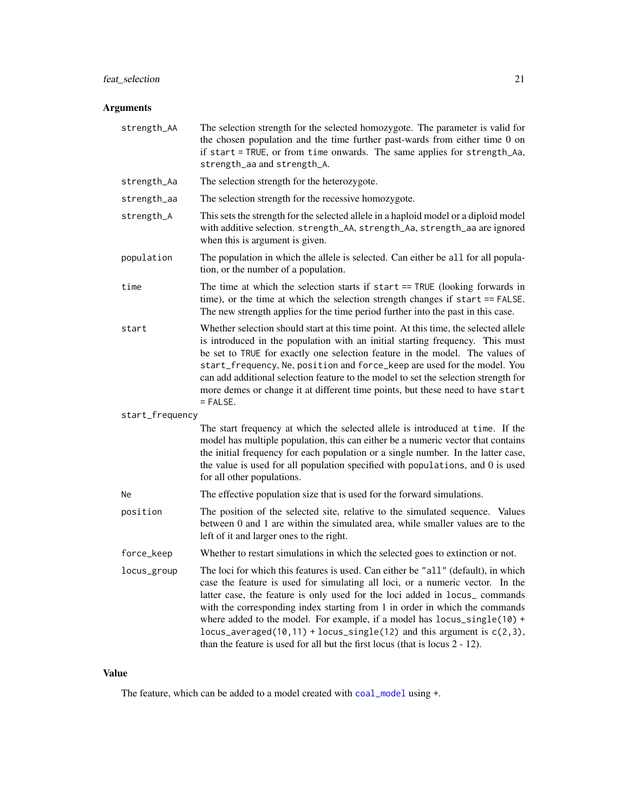## <span id="page-20-0"></span>feat\_selection 21

## Arguments

| strength_AA     | The selection strength for the selected homozygote. The parameter is valid for<br>the chosen population and the time further past-wards from either time 0 on<br>if start = TRUE, or from time onwards. The same applies for strength_Aa,<br>strength_aa and strength_A.                                                                                                                                                                                                                                                                                                   |
|-----------------|----------------------------------------------------------------------------------------------------------------------------------------------------------------------------------------------------------------------------------------------------------------------------------------------------------------------------------------------------------------------------------------------------------------------------------------------------------------------------------------------------------------------------------------------------------------------------|
| strength_Aa     | The selection strength for the heterozygote.                                                                                                                                                                                                                                                                                                                                                                                                                                                                                                                               |
| strength_aa     | The selection strength for the recessive homozygote.                                                                                                                                                                                                                                                                                                                                                                                                                                                                                                                       |
| strength_A      | This sets the strength for the selected allele in a haploid model or a diploid model<br>with additive selection. strength_AA, strength_Aa, strength_aa are ignored<br>when this is argument is given.                                                                                                                                                                                                                                                                                                                                                                      |
| population      | The population in which the allele is selected. Can either be all for all popula-<br>tion, or the number of a population.                                                                                                                                                                                                                                                                                                                                                                                                                                                  |
| time            | The time at which the selection starts if $start == TRUE$ (looking forwards in<br>time), or the time at which the selection strength changes if start == FALSE.<br>The new strength applies for the time period further into the past in this case.                                                                                                                                                                                                                                                                                                                        |
| start           | Whether selection should start at this time point. At this time, the selected allele<br>is introduced in the population with an initial starting frequency. This must<br>be set to TRUE for exactly one selection feature in the model. The values of<br>start_frequency, Ne, position and force_keep are used for the model. You<br>can add additional selection feature to the model to set the selection strength for<br>more demes or change it at different time points, but these need to have start<br>$=$ FALSE.                                                   |
| start_frequency |                                                                                                                                                                                                                                                                                                                                                                                                                                                                                                                                                                            |
|                 | The start frequency at which the selected allele is introduced at time. If the<br>model has multiple population, this can either be a numeric vector that contains<br>the initial frequency for each population or a single number. In the latter case,<br>the value is used for all population specified with populations, and 0 is used<br>for all other populations.                                                                                                                                                                                                    |
| Ne.             | The effective population size that is used for the forward simulations.                                                                                                                                                                                                                                                                                                                                                                                                                                                                                                    |
| position        | The position of the selected site, relative to the simulated sequence. Values<br>between 0 and 1 are within the simulated area, while smaller values are to the<br>left of it and larger ones to the right.                                                                                                                                                                                                                                                                                                                                                                |
| force_keep      | Whether to restart simulations in which the selected goes to extinction or not.                                                                                                                                                                                                                                                                                                                                                                                                                                                                                            |
| locus_group     | The loci for which this features is used. Can either be "all" (default), in which<br>case the feature is used for simulating all loci, or a numeric vector. In the<br>latter case, the feature is only used for the loci added in locus_commands<br>with the corresponding index starting from 1 in order in which the commands<br>where added to the model. For example, if a model has locus_single(10) +<br>locus_averaged(10,11) + locus_single(12) and this argument is $c(2,3)$ ,<br>than the feature is used for all but the first locus (that is locus $2 - 12$ ). |

## Value

The feature, which can be added to a model created with [coal\\_model](#page-4-2) using +.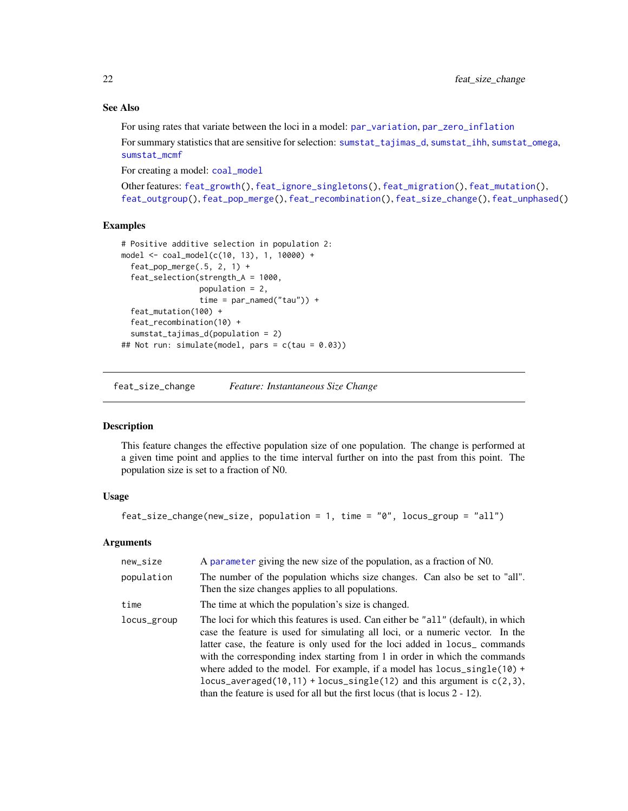## See Also

For using rates that variate between the loci in a model: [par\\_variation](#page-28-1), [par\\_zero\\_inflation](#page-29-1)

For summary statistics that are sensitive for selection: [sumstat\\_tajimas\\_d](#page-47-1), [sumstat\\_ihh](#page-38-1), [sumstat\\_omega](#page-43-1), [sumstat\\_mcmf](#page-41-1)

For creating a model: [coal\\_model](#page-4-2)

Other features: [feat\\_growth\(](#page-9-1)), [feat\\_ignore\\_singletons\(](#page-10-1)), [feat\\_migration\(](#page-11-1)), [feat\\_mutation\(](#page-13-1)), [feat\\_outgroup\(](#page-15-1)), [feat\\_pop\\_merge\(](#page-16-1)), [feat\\_recombination\(](#page-18-1)), [feat\\_size\\_change\(](#page-21-1)), [feat\\_unphased\(](#page-22-1))

## Examples

```
# Positive additive selection in population 2:
model <- coal_model(c(10, 13), 1, 10000) +
  feat\_pop\_merge(.5, 2, 1) +feat_selection(strength_A = 1000,
                 population = 2,
                 time = par_named("tau") +
  feat_mutation(100) +
  feat_recombination(10) +
  sumstat_tajimas_d(population = 2)
## Not run: simulate(model, pars = c(tau = 0.03))
```
<span id="page-21-1"></span>feat\_size\_change *Feature: Instantaneous Size Change*

#### Description

This feature changes the effective population size of one population. The change is performed at a given time point and applies to the time interval further on into the past from this point. The population size is set to a fraction of N0.

#### Usage

```
feat_size_change(new_size, population = 1, time = "0", locus_group = "all")
```
#### Arguments

| new_size    | A parameter giving the new size of the population, as a fraction of NO.                                                                                                                                                                                                                                                                                                                                                                                                                                                                                                                    |
|-------------|--------------------------------------------------------------------------------------------------------------------------------------------------------------------------------------------------------------------------------------------------------------------------------------------------------------------------------------------------------------------------------------------------------------------------------------------------------------------------------------------------------------------------------------------------------------------------------------------|
| population  | The number of the population whichs size changes. Can also be set to "all".<br>Then the size changes applies to all populations.                                                                                                                                                                                                                                                                                                                                                                                                                                                           |
| time        | The time at which the population's size is changed.                                                                                                                                                                                                                                                                                                                                                                                                                                                                                                                                        |
| locus_group | The loci for which this features is used. Can either be "all" (default), in which<br>case the feature is used for simulating all loci, or a numeric vector. In the<br>latter case, the feature is only used for the loci added in locus <sub>-</sub> commands<br>with the corresponding index starting from 1 in order in which the commands<br>where added to the model. For example, if a model has $locus\_single(10) +$<br>locus_averaged(10,11) + locus_single(12) and this argument is $c(2,3)$ ,<br>than the feature is used for all but the first locus (that is locus $2 - 12$ ). |

<span id="page-21-0"></span>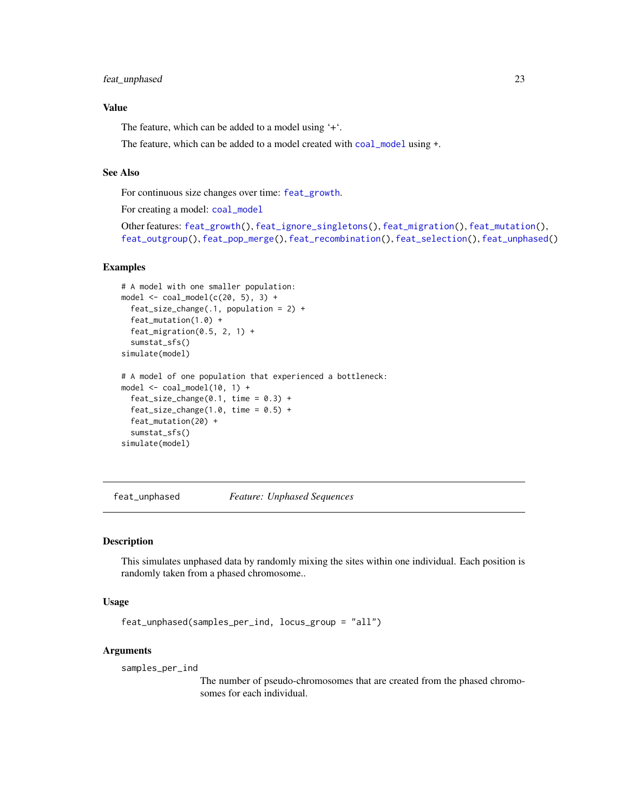## <span id="page-22-0"></span>Value

The feature, which can be added to a model using '+'.

The feature, which can be added to a model created with [coal\\_model](#page-4-2) using +.

#### See Also

For continuous size changes over time: [feat\\_growth](#page-9-1).

For creating a model: [coal\\_model](#page-4-2)

```
Other features: feat_growth(), feat_ignore_singletons(), feat_migration(), feat_mutation(),
feat_outgroup(), feat_pop_merge(), feat_recombination(), feat_selection(), feat_unphased()
```
#### Examples

```
# A model with one smaller population:
model \le coal_model(c(20, 5), 3) +
 feat_size_change(.1, population = 2) +
 feat_mutation(1.0) +
 feat_migration(0.5, 2, 1) +
 sumstat_sfs()
simulate(model)
# A model of one population that experienced a bottleneck:
model <- coal_model(10, 1) +
 feat\_size\_change(0.1, time = 0.3) +feat\_size\_change(1.0, time = 0.5) +feat_mutation(20) +
 sumstat_sfs()
simulate(model)
```
<span id="page-22-1"></span>feat\_unphased *Feature: Unphased Sequences*

## Description

This simulates unphased data by randomly mixing the sites within one individual. Each position is randomly taken from a phased chromosome..

#### Usage

```
feat_unphased(samples_per_ind, locus_group = "all")
```
#### Arguments

samples\_per\_ind

The number of pseudo-chromosomes that are created from the phased chromosomes for each individual.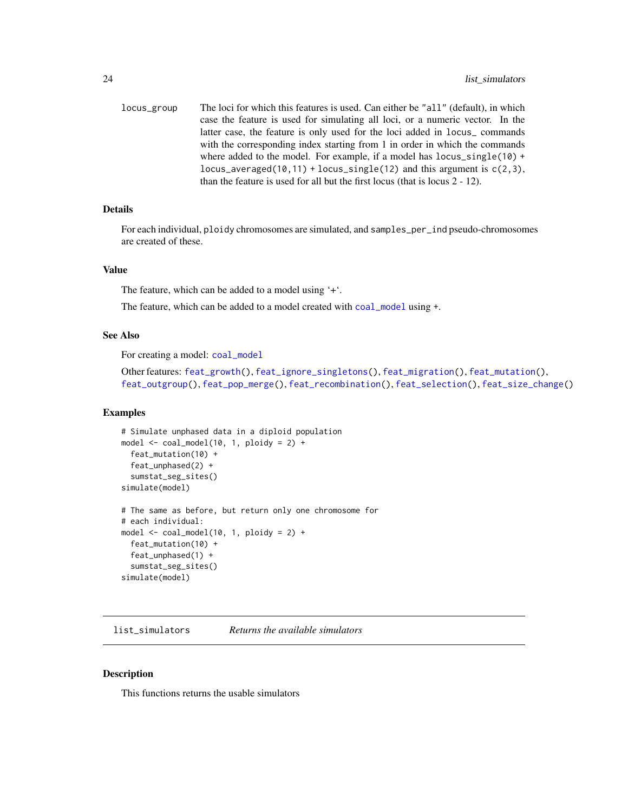<span id="page-23-0"></span>locus\_group The loci for which this features is used. Can either be "all" (default), in which case the feature is used for simulating all loci, or a numeric vector. In the latter case, the feature is only used for the loci added in locus\_ commands with the corresponding index starting from 1 in order in which the commands where added to the model. For example, if a model has locus\_single(10) + locus\_averaged(10,11) + locus\_single(12) and this argument is  $c(2,3)$ , than the feature is used for all but the first locus (that is locus 2 - 12).

## Details

For each individual, ploidy chromosomes are simulated, and samples\_per\_ind pseudo-chromosomes are created of these.

#### Value

The feature, which can be added to a model using '+'.

The feature, which can be added to a model created with [coal\\_model](#page-4-2) using +.

## See Also

For creating a model: [coal\\_model](#page-4-2)

Other features: [feat\\_growth\(](#page-9-1)), [feat\\_ignore\\_singletons\(](#page-10-1)), [feat\\_migration\(](#page-11-1)), [feat\\_mutation\(](#page-13-1)), [feat\\_outgroup\(](#page-15-1)), [feat\\_pop\\_merge\(](#page-16-1)), [feat\\_recombination\(](#page-18-1)), [feat\\_selection\(](#page-19-1)), [feat\\_size\\_change\(](#page-21-1))

#### Examples

```
# Simulate unphased data in a diploid population
model \le coal_model(10, 1, ploidy = 2) +
  feat_mutation(10) +
  feat_unphased(2) +
  sumstat_seg_sites()
simulate(model)
# The same as before, but return only one chromosome for
# each individual:
model \le coal_model(10, 1, ploidy = 2) +
  feat_mutation(10) +
  feat_unphased(1) +
  sumstat_seg_sites()
simulate(model)
```
<span id="page-23-1"></span>list\_simulators *Returns the available simulators*

#### Description

This functions returns the usable simulators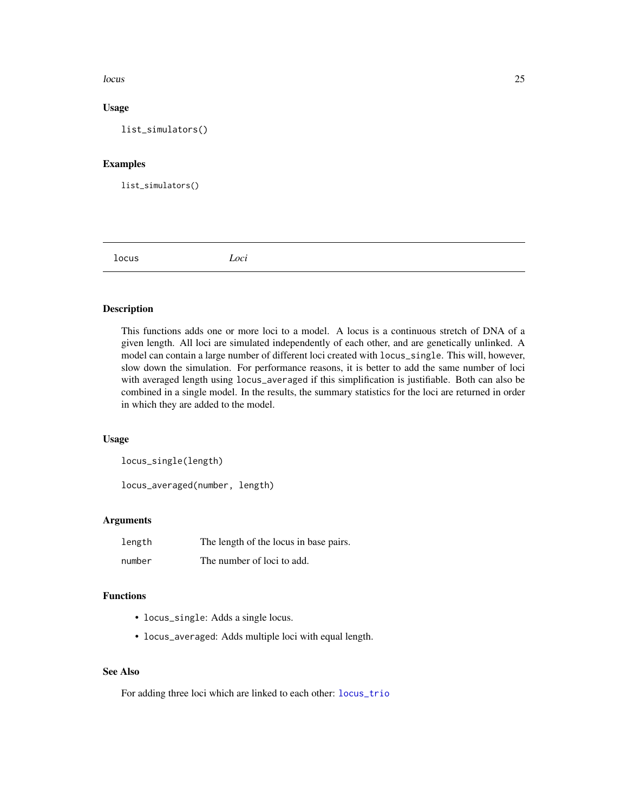#### <span id="page-24-0"></span>locus and the contract of the contract of the contract of the contract of the contract of the contract of the contract of the contract of the contract of the contract of the contract of the contract of the contract of the

## Usage

list\_simulators()

## Examples

list\_simulators()

<span id="page-24-2"></span>locus *Loci*

## <span id="page-24-1"></span>Description

This functions adds one or more loci to a model. A locus is a continuous stretch of DNA of a given length. All loci are simulated independently of each other, and are genetically unlinked. A model can contain a large number of different loci created with locus\_single. This will, however, slow down the simulation. For performance reasons, it is better to add the same number of loci with averaged length using locus\_averaged if this simplification is justifiable. Both can also be combined in a single model. In the results, the summary statistics for the loci are returned in order in which they are added to the model.

## Usage

locus\_single(length)

locus\_averaged(number, length)

#### Arguments

| length | The length of the locus in base pairs. |
|--------|----------------------------------------|
| number | The number of loci to add.             |

## Functions

- locus\_single: Adds a single locus.
- locus\_averaged: Adds multiple loci with equal length.

## See Also

For adding three loci which are linked to each other: [locus\\_trio](#page-25-1)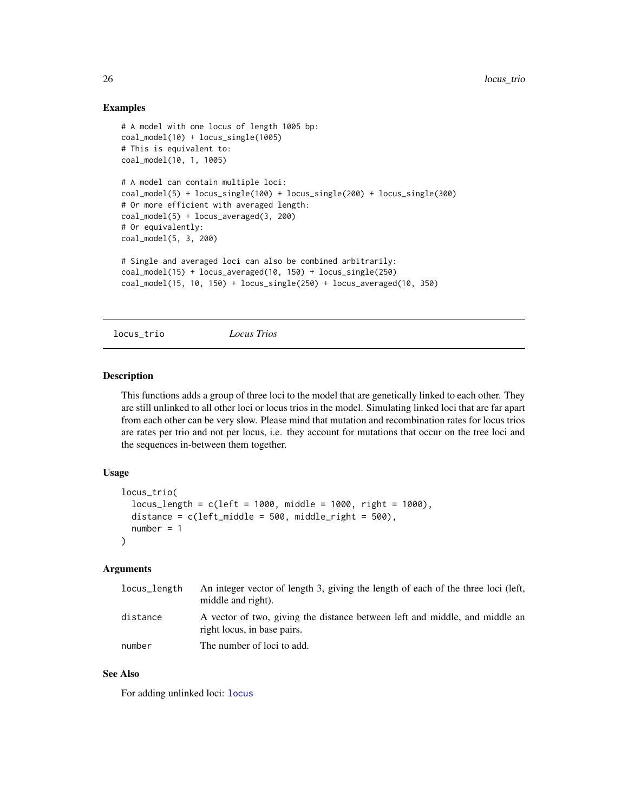## Examples

```
# A model with one locus of length 1005 bp:
coal_model(10) + locus_single(1005)
# This is equivalent to:
coal_model(10, 1, 1005)
# A model can contain multiple loci:
coal_model(5) + locus_single(100) + locus_single(200) + locus_single(300)
# Or more efficient with averaged length:
coal_model(5) + locus_averaged(3, 200)
# Or equivalently:
coal_model(5, 3, 200)
# Single and averaged loci can also be combined arbitrarily:
coal_model(15) + locus_averaged(10, 150) + locus_single(250)
coal_model(15, 10, 150) + locus_single(250) + locus_averaged(10, 350)
```

```
locus_trio Locus Trios
```
#### Description

This functions adds a group of three loci to the model that are genetically linked to each other. They are still unlinked to all other loci or locus trios in the model. Simulating linked loci that are far apart from each other can be very slow. Please mind that mutation and recombination rates for locus trios are rates per trio and not per locus, i.e. they account for mutations that occur on the tree loci and the sequences in-between them together.

## Usage

```
locus_trio(
  locus_length = c(left = 1000, middle = 1000, right = 1000),distance = c(left_middle = 500, middle\_right = 500),
  number = 1)
```
## Arguments

| locus_length | An integer vector of length 3, giving the length of each of the three loci (left,<br>middle and right).    |
|--------------|------------------------------------------------------------------------------------------------------------|
| distance     | A vector of two, giving the distance between left and middle, and middle an<br>right locus, in base pairs. |
| number       | The number of loci to add.                                                                                 |

## See Also

For adding unlinked loci: [locus](#page-24-2)

<span id="page-25-0"></span>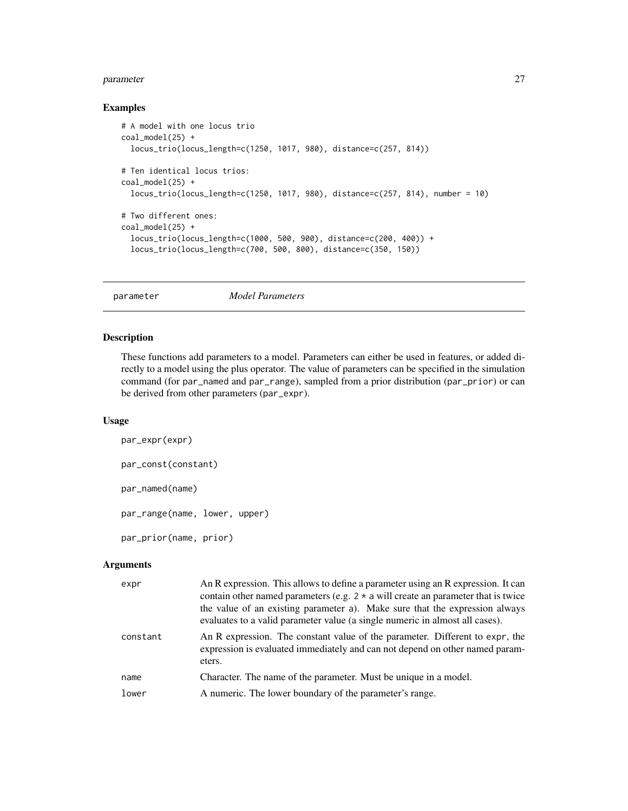#### <span id="page-26-0"></span>parameter 27

#### Examples

```
# A model with one locus trio
coal_model(25) +
  locus_trio(locus_length=c(1250, 1017, 980), distance=c(257, 814))
# Ten identical locus trios:
coal_model(25) +
  locus_trio(locus_length=c(1250, 1017, 980), distance=c(257, 814), number = 10)
# Two different ones:
coal_model(25) +locus_trio(locus_length=c(1000, 500, 900), distance=c(200, 400)) +
  locus_trio(locus_length=c(700, 500, 800), distance=c(350, 150))
```

```
parameter Model Parameters
```
## <span id="page-26-2"></span>Description

These functions add parameters to a model. Parameters can either be used in features, or added directly to a model using the plus operator. The value of parameters can be specified in the simulation command (for par\_named and par\_range), sampled from a prior distribution (par\_prior) or can be derived from other parameters (par\_expr).

#### Usage

```
par_expr(expr)
par_const(constant)
par_named(name)
par_range(name, lower, upper)
par_prior(name, prior)
```
#### Arguments

| expr     | An R expression. This allows to define a parameter using an R expression. It can<br>contain other named parameters (e.g. $2 * a$ will create an parameter that is twice<br>the value of an existing parameter a). Make sure that the expression always<br>evaluates to a valid parameter value (a single numeric in almost all cases). |
|----------|----------------------------------------------------------------------------------------------------------------------------------------------------------------------------------------------------------------------------------------------------------------------------------------------------------------------------------------|
| constant | An R expression. The constant value of the parameter. Different to expr, the<br>expression is evaluated immediately and can not depend on other named param-<br>eters.                                                                                                                                                                 |
| name     | Character. The name of the parameter. Must be unique in a model.                                                                                                                                                                                                                                                                       |
| lower    | A numeric. The lower boundary of the parameter's range.                                                                                                                                                                                                                                                                                |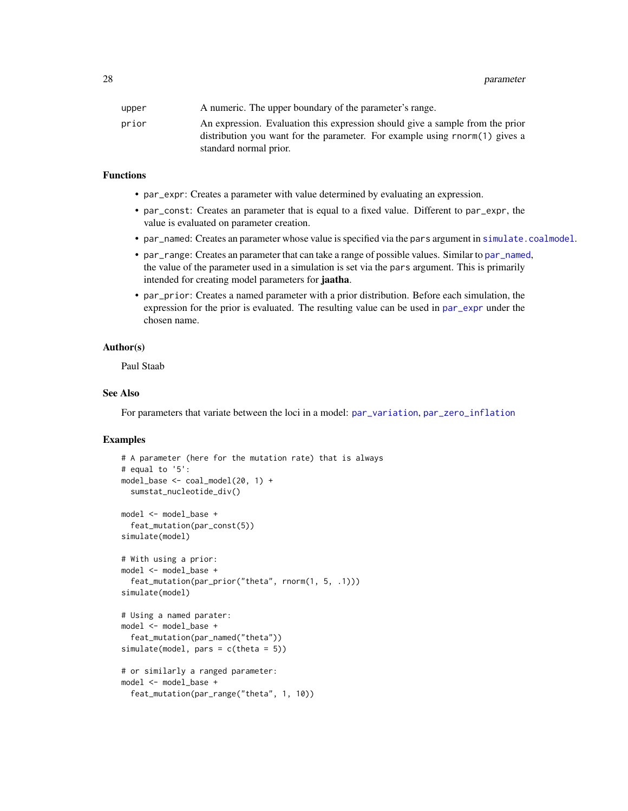<span id="page-27-0"></span>28 parameter and the contract of the contract of the contract of the contract of the contract of the contract of the contract of the contract of the contract of the contract of the contract of the contract of the contract

| upper | A numeric. The upper boundary of the parameter's range.                                                                                                      |
|-------|--------------------------------------------------------------------------------------------------------------------------------------------------------------|
| prior | An expression. Evaluation this expression should give a sample from the prior<br>distribution you want for the parameter. For example using rnorm(1) gives a |
|       | standard normal prior.                                                                                                                                       |

#### Functions

- par\_expr: Creates a parameter with value determined by evaluating an expression.
- par\_const: Creates an parameter that is equal to a fixed value. Different to par\_expr, the value is evaluated on parameter creation.
- par\_named: Creates an parameter whose value is specified via the pars argument in [simulate.coalmodel](#page-30-1).
- par\_range: Creates an parameter that can take a range of possible values. Similar to [par\\_named](#page-26-2), the value of the parameter used in a simulation is set via the pars argument. This is primarily intended for creating model parameters for jaatha.
- par\_prior: Creates a named parameter with a prior distribution. Before each simulation, the expression for the prior is evaluated. The resulting value can be used in [par\\_expr](#page-26-2) under the chosen name.

#### Author(s)

Paul Staab

## See Also

For parameters that variate between the loci in a model: [par\\_variation](#page-28-1), [par\\_zero\\_inflation](#page-29-1)

```
# A parameter (here for the mutation rate) that is always
# equal to '5':
model_base <- coal_model(20, 1) +
 sumstat_nucleotide_div()
model <- model_base +
 feat_mutation(par_const(5))
simulate(model)
# With using a prior:
model <- model_base +
 feat_mutation(par_prior("theta", rnorm(1, 5, .1)))
simulate(model)
# Using a named parater:
model <- model_base +
 feat_mutation(par_named("theta"))
simulate(model, pars = c(theta = 5))
# or similarly a ranged parameter:
model <- model_base +
 feat_mutation(par_range("theta", 1, 10))
```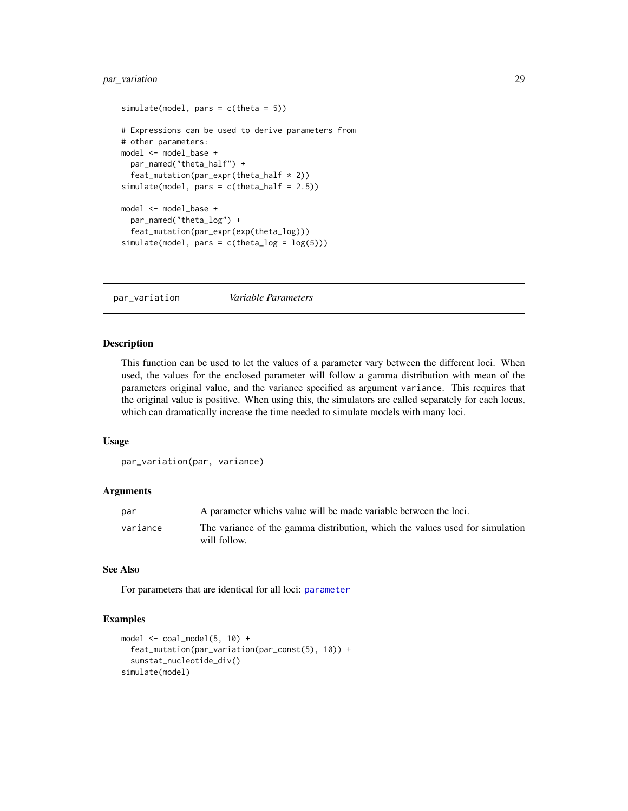## <span id="page-28-0"></span>par\_variation 29

```
simulate(model, pars = c(theta = 5))# Expressions can be used to derive parameters from
# other parameters:
model <- model_base +
  par_named("theta_half") +
  feat_mutation(par_expr(theta_half * 2))
simulate(model, pars = c(theta_half = 2.5))
model <- model_base +
  par_named("theta_log") +
  feat_mutation(par_expr(exp(theta_log)))
simulate(model, pars = c(theta_log = log(5)))
```
<span id="page-28-1"></span>par\_variation *Variable Parameters*

## **Description**

This function can be used to let the values of a parameter vary between the different loci. When used, the values for the enclosed parameter will follow a gamma distribution with mean of the parameters original value, and the variance specified as argument variance. This requires that the original value is positive. When using this, the simulators are called separately for each locus, which can dramatically increase the time needed to simulate models with many loci.

#### Usage

```
par_variation(par, variance)
```
#### Arguments

| par      | A parameter which is value will be made variable between the loci.                           |
|----------|----------------------------------------------------------------------------------------------|
| variance | The variance of the gamma distribution, which the values used for simulation<br>will follow. |

## See Also

For parameters that are identical for all loci: [parameter](#page-26-1)

```
model \le coal_model(5, 10) +
  feat_mutation(par_variation(par_const(5), 10)) +
  sumstat_nucleotide_div()
simulate(model)
```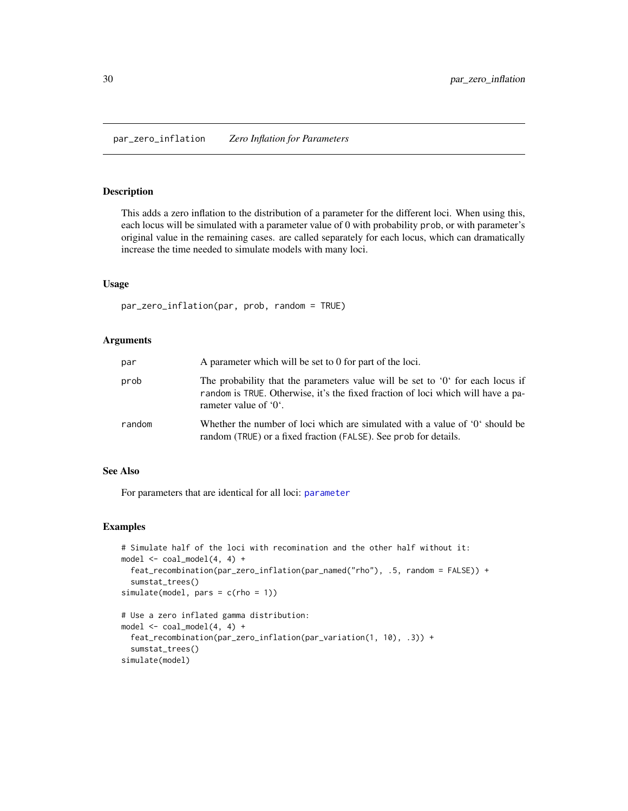## <span id="page-29-1"></span><span id="page-29-0"></span>Description

This adds a zero inflation to the distribution of a parameter for the different loci. When using this, each locus will be simulated with a parameter value of 0 with probability prob, or with parameter's original value in the remaining cases. are called separately for each locus, which can dramatically increase the time needed to simulate models with many loci.

#### Usage

par\_zero\_inflation(par, prob, random = TRUE)

#### Arguments

| par    | A parameter which will be set to 0 for part of the loci.                                                                                                                                              |
|--------|-------------------------------------------------------------------------------------------------------------------------------------------------------------------------------------------------------|
| prob   | The probability that the parameters value will be set to $0i$ for each locus if<br>random is TRUE. Otherwise, it's the fixed fraction of loci which will have a pa-<br>rameter value of $0^{\circ}$ . |
| random | Whether the number of loci which are simulated with a value of '0' should be<br>random (TRUE) or a fixed fraction (FALSE). See prob for details.                                                      |

#### See Also

For parameters that are identical for all loci: [parameter](#page-26-1)

#### Examples

```
# Simulate half of the loci with recomination and the other half without it:
model \le coal_model(4, 4) +
  feat_recombination(par_zero_inflation(par_named("rho"), .5, random = FALSE)) +
  sumstat_trees()
simulate(model, pars = c(rho = 1))
# Use a zero inflated gamma distribution:
model \le coal_model(4, 4) +
```

```
feat_recombination(par_zero_inflation(par_variation(1, 10), .3)) +
sumstat_trees()
```
simulate(model)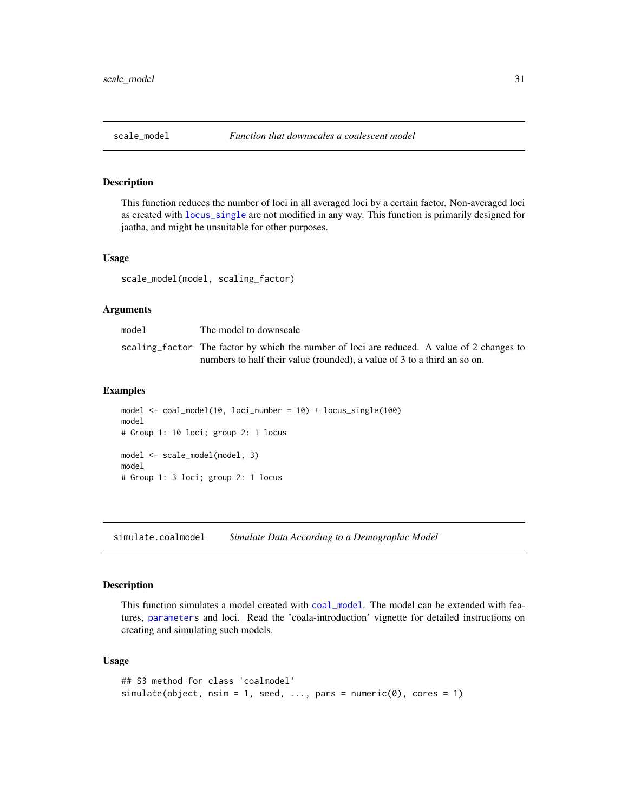## <span id="page-30-0"></span>Description

This function reduces the number of loci in all averaged loci by a certain factor. Non-averaged loci as created with [locus\\_single](#page-24-1) are not modified in any way. This function is primarily designed for jaatha, and might be unsuitable for other purposes.

#### Usage

scale\_model(model, scaling\_factor)

#### Arguments

| model | The model to downscale                                                                      |
|-------|---------------------------------------------------------------------------------------------|
|       | scaling factor. The factor by which the number of loci are reduced. A value of 2 changes to |
|       | numbers to half their value (rounded), a value of 3 to a third an so on.                    |

#### Examples

```
model <- coal_model(10, loci_number = 10) + locus_single(100)
model
# Group 1: 10 loci; group 2: 1 locus
model <- scale_model(model, 3)
model
# Group 1: 3 loci; group 2: 1 locus
```
<span id="page-30-1"></span>simulate.coalmodel *Simulate Data According to a Demographic Model*

## Description

This function simulates a model created with [coal\\_model](#page-4-2). The model can be extended with features, [parameters](#page-26-1) and loci. Read the 'coala-introduction' vignette for detailed instructions on creating and simulating such models.

#### Usage

```
## S3 method for class 'coalmodel'
simulate(object, nsim = 1, seed, ..., pars = numeric(0), cores = 1)
```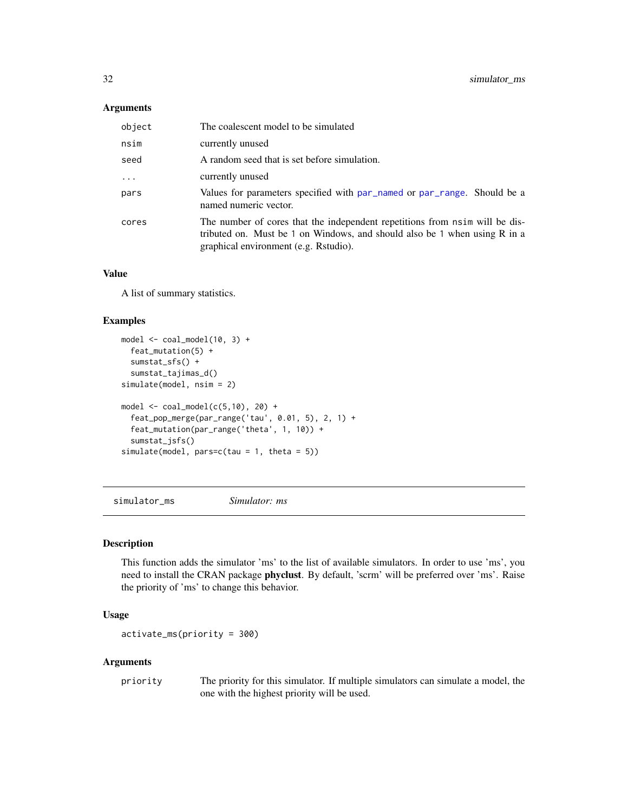## <span id="page-31-0"></span>Arguments

| object   | The coalescent model to be simulated                                                                                                                                                                |
|----------|-----------------------------------------------------------------------------------------------------------------------------------------------------------------------------------------------------|
| nsim     | currently unused                                                                                                                                                                                    |
| seed     | A random seed that is set before simulation.                                                                                                                                                        |
| $\cdots$ | currently unused                                                                                                                                                                                    |
| pars     | Values for parameters specified with par_named or par_range. Should be a<br>named numeric vector.                                                                                                   |
| cores    | The number of cores that the independent repetitions from nsim will be dis-<br>tributed on. Must be 1 on Windows, and should also be 1 when using $R$ in a<br>graphical environment (e.g. Rstudio). |

## Value

A list of summary statistics.

## Examples

```
model \leq - coal_model(10, 3) +feat_mutation(5) +
  sumstat_sfs() +
  sumstat_tajimas_d()
simulate(model, nsim = 2)
model \le coal_model(c(5,10), 20) +
  feat_pop_merge(par_range('tau', 0.01, 5), 2, 1) +
  feat_mutation(par_range('theta', 1, 10)) +
  sumstat_jsfs()
simulate(model, pars=c(tau = 1, theta = 5))
```
<span id="page-31-1"></span>simulator\_ms *Simulator: ms*

#### Description

This function adds the simulator 'ms' to the list of available simulators. In order to use 'ms', you need to install the CRAN package phyclust. By default, 'scrm' will be preferred over 'ms'. Raise the priority of 'ms' to change this behavior.

## Usage

activate\_ms(priority = 300)

#### Arguments

priority The priority for this simulator. If multiple simulators can simulate a model, the one with the highest priority will be used.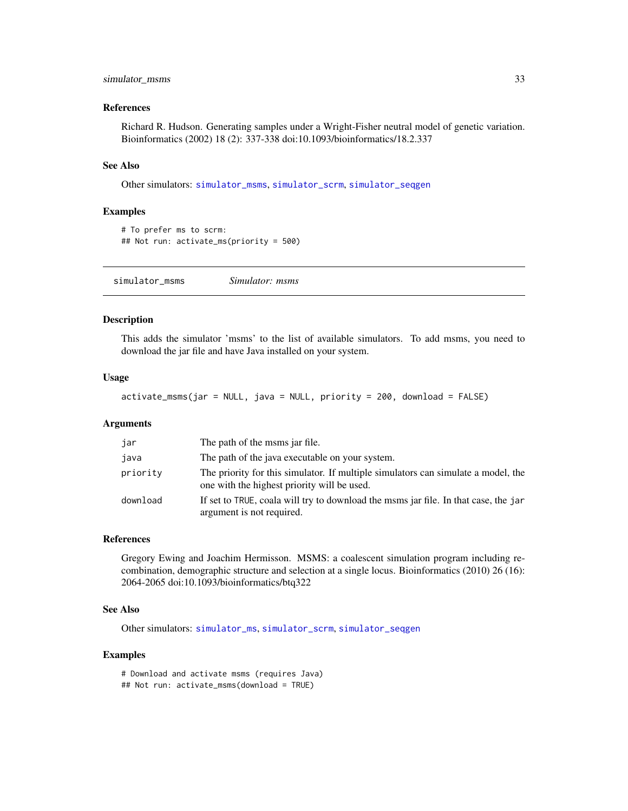## <span id="page-32-0"></span>simulator\_msms 33

#### References

Richard R. Hudson. Generating samples under a Wright-Fisher neutral model of genetic variation. Bioinformatics (2002) 18 (2): 337-338 doi:10.1093/bioinformatics/18.2.337

#### See Also

Other simulators: [simulator\\_msms](#page-32-2), [simulator\\_scrm](#page-33-1), [simulator\\_seqgen](#page-33-2)

#### Examples

```
# To prefer ms to scrm:
## Not run: activate_ms(priority = 500)
```
<span id="page-32-2"></span>simulator\_msms *Simulator: msms*

## <span id="page-32-1"></span>Description

This adds the simulator 'msms' to the list of available simulators. To add msms, you need to download the jar file and have Java installed on your system.

## Usage

activate\_msms(jar = NULL, java = NULL, priority = 200, download = FALSE)

#### Arguments

| jar      | The path of the msms jar file.                                                                                                   |
|----------|----------------------------------------------------------------------------------------------------------------------------------|
| java     | The path of the java executable on your system.                                                                                  |
| priority | The priority for this simulator. If multiple simulators can simulate a model, the<br>one with the highest priority will be used. |
| download | If set to TRUE, coala will try to download the msms jar file. In that case, the jar<br>argument is not required.                 |

#### References

Gregory Ewing and Joachim Hermisson. MSMS: a coalescent simulation program including recombination, demographic structure and selection at a single locus. Bioinformatics (2010) 26 (16): 2064-2065 doi:10.1093/bioinformatics/btq322

## See Also

Other simulators: [simulator\\_ms](#page-31-1), [simulator\\_scrm](#page-33-1), [simulator\\_seqgen](#page-33-2)

```
# Download and activate msms (requires Java)
## Not run: activate_msms(download = TRUE)
```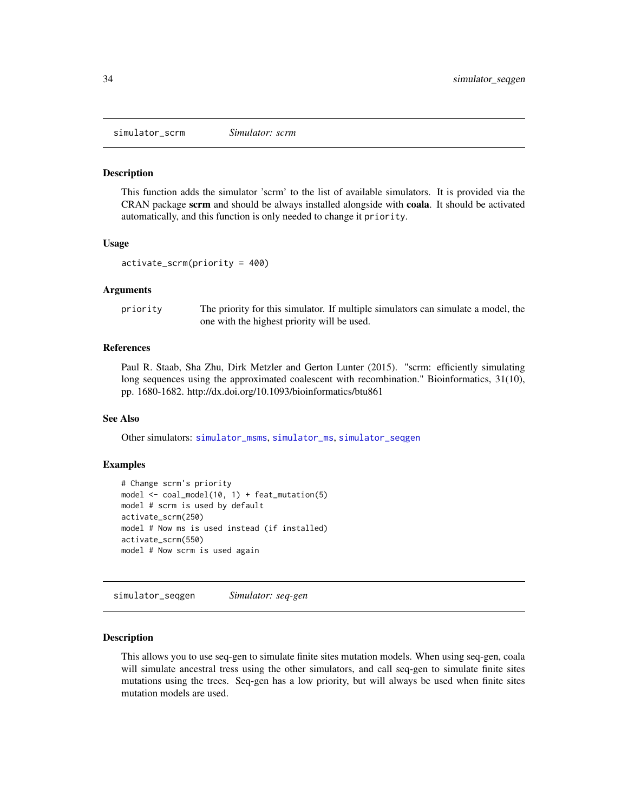<span id="page-33-1"></span><span id="page-33-0"></span>simulator\_scrm *Simulator: scrm*

#### Description

This function adds the simulator 'scrm' to the list of available simulators. It is provided via the CRAN package scrm and should be always installed alongside with coala. It should be activated automatically, and this function is only needed to change it priority.

#### Usage

```
activate_scrm(priority = 400)
```
#### Arguments

priority The priority for this simulator. If multiple simulators can simulate a model, the one with the highest priority will be used.

#### References

Paul R. Staab, Sha Zhu, Dirk Metzler and Gerton Lunter (2015). "scrm: efficiently simulating long sequences using the approximated coalescent with recombination." Bioinformatics, 31(10), pp. 1680-1682. http://dx.doi.org/10.1093/bioinformatics/btu861

## See Also

Other simulators: [simulator\\_msms](#page-32-2), [simulator\\_ms](#page-31-1), [simulator\\_seqgen](#page-33-2)

#### Examples

```
# Change scrm's priority
model \leq coal_model(10, 1) + feat_mutation(5)
model # scrm is used by default
activate_scrm(250)
model # Now ms is used instead (if installed)
activate_scrm(550)
model # Now scrm is used again
```
<span id="page-33-2"></span>simulator\_seqgen *Simulator: seq-gen*

#### Description

This allows you to use seq-gen to simulate finite sites mutation models. When using seq-gen, coala will simulate ancestral tress using the other simulators, and call seq-gen to simulate finite sites mutations using the trees. Seq-gen has a low priority, but will always be used when finite sites mutation models are used.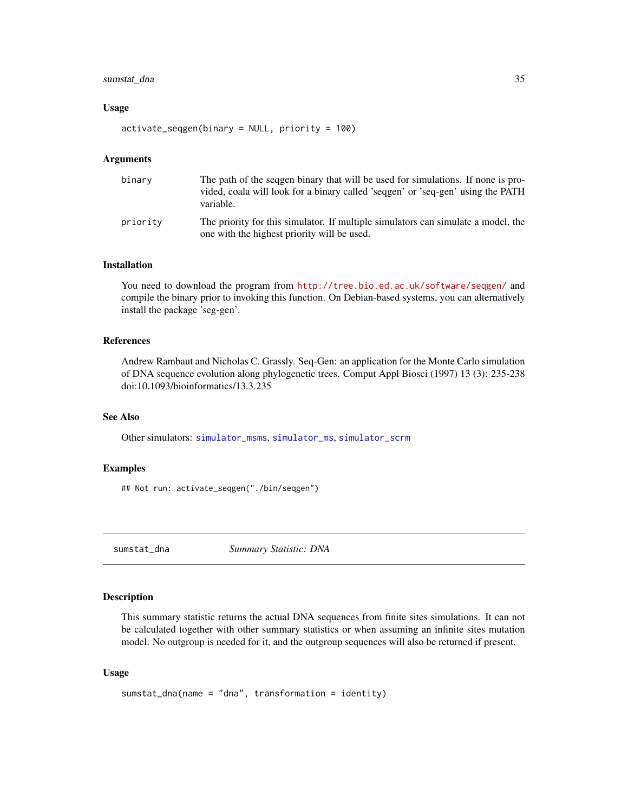## <span id="page-34-0"></span>sumstat\_dna 35

#### Usage

activate\_seqgen(binary = NULL, priority = 100)

#### Arguments

| binary   | The path of the sequen binary that will be used for simulations. If none is pro-<br>vided, coala will look for a binary called 'sequen' or 'seq-gen' using the PATH<br>variable. |
|----------|----------------------------------------------------------------------------------------------------------------------------------------------------------------------------------|
| priority | The priority for this simulator. If multiple simulators can simulate a model, the<br>one with the highest priority will be used.                                                 |

## Installation

You need to download the program from <http://tree.bio.ed.ac.uk/software/seqgen/> and compile the binary prior to invoking this function. On Debian-based systems, you can alternatively install the package 'seg-gen'.

#### References

Andrew Rambaut and Nicholas C. Grassly. Seq-Gen: an application for the Monte Carlo simulation of DNA sequence evolution along phylogenetic trees. Comput Appl Biosci (1997) 13 (3): 235-238 doi:10.1093/bioinformatics/13.3.235

## See Also

Other simulators: [simulator\\_msms](#page-32-2), [simulator\\_ms](#page-31-1), [simulator\\_scrm](#page-33-1)

## Examples

## Not run: activate\_seqgen("./bin/seqgen")

<span id="page-34-1"></span>sumstat\_dna *Summary Statistic: DNA*

#### Description

This summary statistic returns the actual DNA sequences from finite sites simulations. It can not be calculated together with other summary statistics or when assuming an infinite sites mutation model. No outgroup is needed for it, and the outgroup sequences will also be returned if present.

#### Usage

```
sumstat_dna(name = "dna", transformation = identity)
```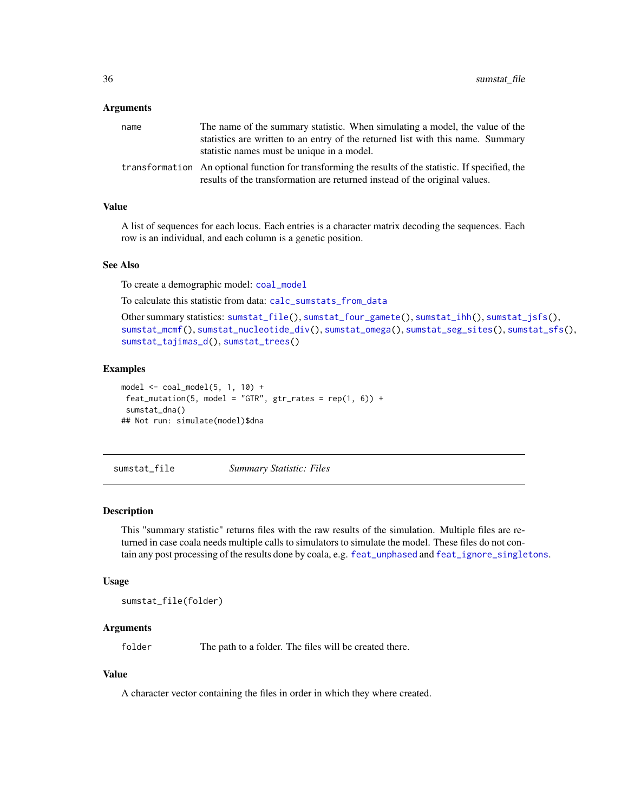#### <span id="page-35-0"></span>**Arguments**

| name | The name of the summary statistic. When simulating a model, the value of the                                                                                                       |
|------|------------------------------------------------------------------------------------------------------------------------------------------------------------------------------------|
|      | statistics are written to an entry of the returned list with this name. Summary<br>statistic names must be unique in a model.                                                      |
|      | transformation An optional function for transforming the results of the statistic. If specified, the<br>results of the transformation are returned instead of the original values. |

#### Value

A list of sequences for each locus. Each entries is a character matrix decoding the sequences. Each row is an individual, and each column is a genetic position.

## See Also

To create a demographic model: [coal\\_model](#page-4-2)

To calculate this statistic from data: [calc\\_sumstats\\_from\\_data](#page-3-1)

```
Other summary statistics: sumstat_file(), sumstat_four_gamete(), sumstat_ihh(), sumstat_jsfs(),
sumstat_mcmf(), sumstat_nucleotide_div(), sumstat_omega(), sumstat_seg_sites(), sumstat_sfs(),
sumstat_tajimas_d(), sumstat_trees()
```
#### Examples

```
model \le coal_model(5, 1, 10) +
feat_mutation(5, model = "GTR", gr_rates = rep(1, 6)) +sumstat_dna()
## Not run: simulate(model)$dna
```
<span id="page-35-1"></span>sumstat\_file *Summary Statistic: Files*

#### Description

This "summary statistic" returns files with the raw results of the simulation. Multiple files are returned in case coala needs multiple calls to simulators to simulate the model. These files do not contain any post processing of the results done by coala, e.g. [feat\\_unphased](#page-22-1) and [feat\\_ignore\\_singletons](#page-10-1).

#### Usage

sumstat\_file(folder)

#### Arguments

folder The path to a folder. The files will be created there.

## Value

A character vector containing the files in order in which they where created.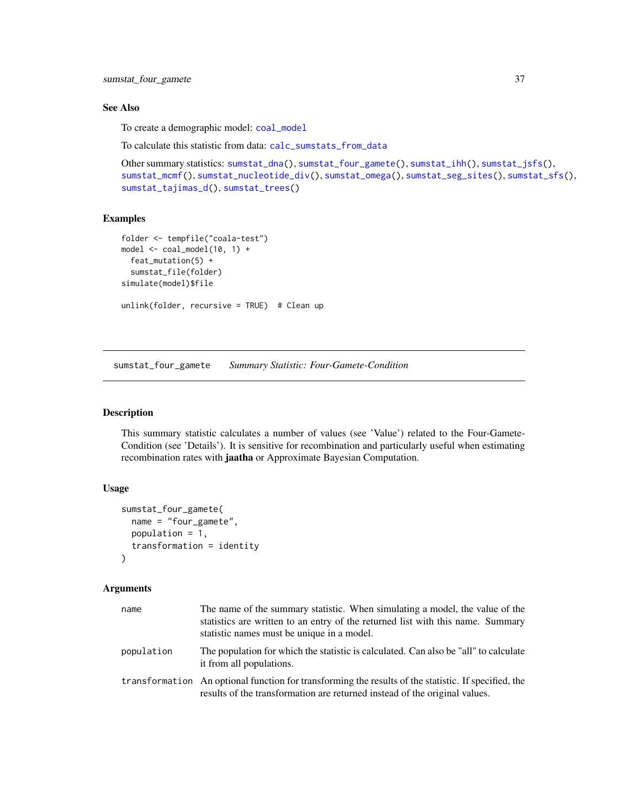#### <span id="page-36-0"></span>See Also

To create a demographic model: [coal\\_model](#page-4-2)

To calculate this statistic from data: [calc\\_sumstats\\_from\\_data](#page-3-1)

```
Other summary statistics: sumstat_dna(), sumstat_four_gamete(), sumstat_ihh(), sumstat_jsfs(),
sumstat_mcmf(), sumstat_nucleotide_div(), sumstat_omega(), sumstat_seg_sites(), sumstat_sfs(),
sumstat_tajimas_d(), sumstat_trees()
```
## Examples

```
folder <- tempfile("coala-test")
model <- coal_model(10, 1) +
  feat_mutation(5) +
  sumstat_file(folder)
simulate(model)$file
unlink(folder, recursive = TRUE) # Clean up
```
<span id="page-36-1"></span>sumstat\_four\_gamete *Summary Statistic: Four-Gamete-Condition*

#### Description

This summary statistic calculates a number of values (see 'Value') related to the Four-Gamete-Condition (see 'Details'). It is sensitive for recombination and particularly useful when estimating recombination rates with jaatha or Approximate Bayesian Computation.

#### Usage

```
sumstat_four_gamete(
 name = "four_gamete",
 population = 1,
  transformation = identity
)
```
#### Arguments

| name       | The name of the summary statistic. When simulating a model, the value of the<br>statistics are written to an entry of the returned list with this name. Summary<br>statistic names must be unique in a model. |
|------------|---------------------------------------------------------------------------------------------------------------------------------------------------------------------------------------------------------------|
| population | The population for which the statistic is calculated. Can also be "all" to calculate<br>it from all populations.                                                                                              |
|            | transformation An optional function for transforming the results of the statistic. If specified, the<br>results of the transformation are returned instead of the original values.                            |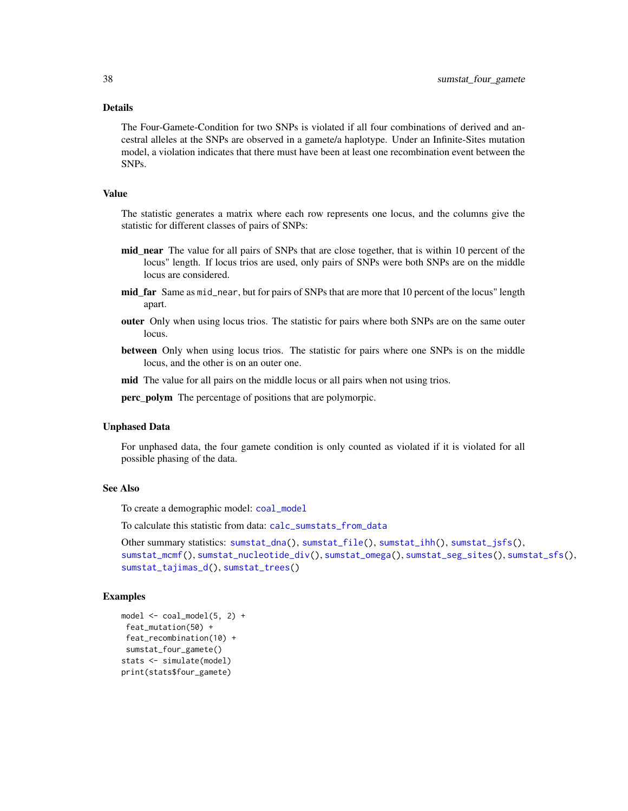#### <span id="page-37-0"></span>Details

The Four-Gamete-Condition for two SNPs is violated if all four combinations of derived and ancestral alleles at the SNPs are observed in a gamete/a haplotype. Under an Infinite-Sites mutation model, a violation indicates that there must have been at least one recombination event between the SNPs.

#### Value

The statistic generates a matrix where each row represents one locus, and the columns give the statistic for different classes of pairs of SNPs:

- mid\_near The value for all pairs of SNPs that are close together, that is within 10 percent of the locus" length. If locus trios are used, only pairs of SNPs were both SNPs are on the middle locus are considered.
- mid\_far Same as mid\_near, but for pairs of SNPs that are more that 10 percent of the locus" length apart.
- outer Only when using locus trios. The statistic for pairs where both SNPs are on the same outer locus.
- between Only when using locus trios. The statistic for pairs where one SNPs is on the middle locus, and the other is on an outer one.
- mid The value for all pairs on the middle locus or all pairs when not using trios.
- perc\_polym The percentage of positions that are polymorpic.

#### Unphased Data

For unphased data, the four gamete condition is only counted as violated if it is violated for all possible phasing of the data.

#### See Also

To create a demographic model: [coal\\_model](#page-4-2)

To calculate this statistic from data: [calc\\_sumstats\\_from\\_data](#page-3-1)

```
Other summary statistics: sumstat_dna(), sumstat_file(), sumstat_ihh(), sumstat_jsfs(),
sumstat_mcmf(), sumstat_nucleotide_div(), sumstat_omega(), sumstat_seg_sites(), sumstat_sfs(),
sumstat_tajimas_d(), sumstat_trees()
```

```
model \leq - coal_model(5, 2) +feat_mutation(50) +
feat_recombination(10) +
sumstat_four_gamete()
stats <- simulate(model)
print(stats$four_gamete)
```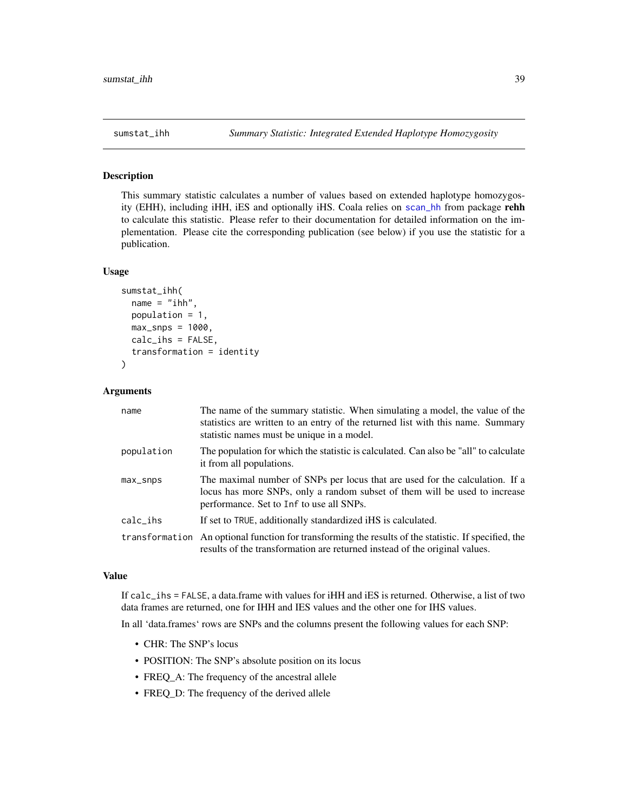<span id="page-38-1"></span><span id="page-38-0"></span>

#### Description

This summary statistic calculates a number of values based on extended haplotype homozygosity (EHH), including iHH, iES and optionally iHS. Coala relies on [scan\\_hh](#page-0-0) from package rehh to calculate this statistic. Please refer to their documentation for detailed information on the implementation. Please cite the corresponding publication (see below) if you use the statistic for a publication.

## Usage

```
sumstat_ihh(
  name = "ihh",population = 1,
 max_{snps} = 1000,
 calc_ihs = FALSE,
  transformation = identity
)
```
## Arguments

| name       | The name of the summary statistic. When simulating a model, the value of the<br>statistics are written to an entry of the returned list with this name. Summary<br>statistic names must be unique in a model. |
|------------|---------------------------------------------------------------------------------------------------------------------------------------------------------------------------------------------------------------|
| population | The population for which the statistic is calculated. Can also be "all" to calculate<br>it from all populations.                                                                                              |
| max_snps   | The maximal number of SNPs per locus that are used for the calculation. If a<br>locus has more SNPs, only a random subset of them will be used to increase<br>performance. Set to Inf to use all SNPs.        |
| $calc_ihs$ | If set to TRUE, additionally standardized iHS is calculated.                                                                                                                                                  |
|            | transformation An optional function for transforming the results of the statistic. If specified, the<br>results of the transformation are returned instead of the original values.                            |

## Value

If calc\_ihs = FALSE, a data.frame with values for iHH and iES is returned. Otherwise, a list of two data frames are returned, one for IHH and IES values and the other one for IHS values.

In all 'data.frames' rows are SNPs and the columns present the following values for each SNP:

- CHR: The SNP's locus
- POSITION: The SNP's absolute position on its locus
- FREQ\_A: The frequency of the ancestral allele
- FREQ\_D: The frequency of the derived allele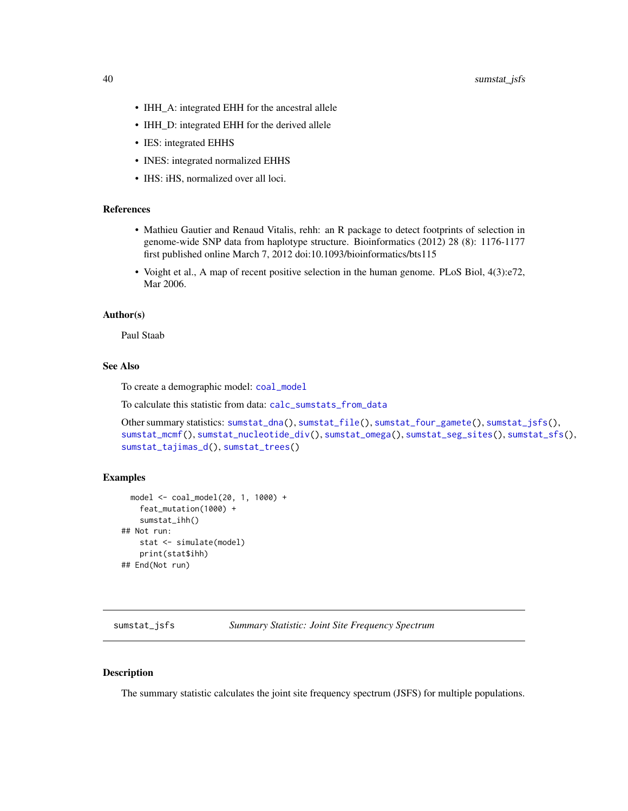- <span id="page-39-0"></span>• IHH\_A: integrated EHH for the ancestral allele
- IHH\_D: integrated EHH for the derived allele
- IES: integrated EHHS
- INES: integrated normalized EHHS
- IHS: iHS, normalized over all loci.

## References

- Mathieu Gautier and Renaud Vitalis, rehh: an R package to detect footprints of selection in genome-wide SNP data from haplotype structure. Bioinformatics (2012) 28 (8): 1176-1177 first published online March 7, 2012 doi:10.1093/bioinformatics/bts115
- Voight et al., A map of recent positive selection in the human genome. PLoS Biol, 4(3):e72, Mar 2006.

#### Author(s)

Paul Staab

## See Also

To create a demographic model: [coal\\_model](#page-4-2)

To calculate this statistic from data: [calc\\_sumstats\\_from\\_data](#page-3-1)

```
Other summary statistics: sumstat_dna(), sumstat_file(), sumstat_four_gamete(), sumstat_jsfs(),
sumstat_mcmf(), sumstat_nucleotide_div(), sumstat_omega(), sumstat_seg_sites(), sumstat_sfs(),
sumstat_tajimas_d(), sumstat_trees()
```
#### Examples

```
model <- coal_model(20, 1, 1000) +
   feat_mutation(1000) +
   sumstat_ihh()
## Not run:
   stat <- simulate(model)
   print(stat$ihh)
## End(Not run)
```
<span id="page-39-1"></span>sumstat\_jsfs *Summary Statistic: Joint Site Frequency Spectrum*

#### Description

The summary statistic calculates the joint site frequency spectrum (JSFS) for multiple populations.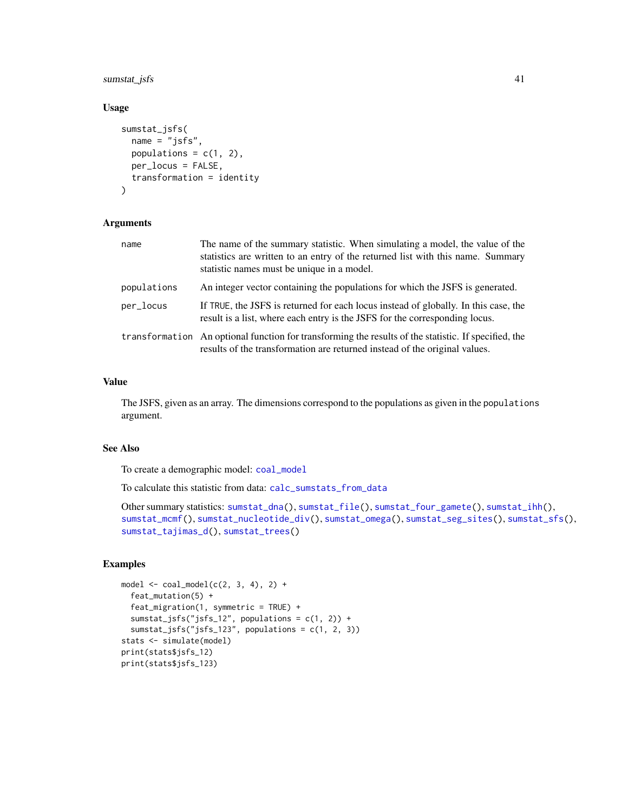## <span id="page-40-0"></span>sumstat\_jsfs 41

#### Usage

```
sumstat_jsfs(
 name = "jsfs",
 populations = c(1, 2),
 per_locus = FALSE,
 transformation = identity
)
```
## Arguments

| name        | The name of the summary statistic. When simulating a model, the value of the<br>statistics are written to an entry of the returned list with this name. Summary<br>statistic names must be unique in a model. |
|-------------|---------------------------------------------------------------------------------------------------------------------------------------------------------------------------------------------------------------|
| populations | An integer vector containing the populations for which the JSFS is generated.                                                                                                                                 |
| per_locus   | If TRUE, the JSFS is returned for each locus instead of globally. In this case, the<br>result is a list, where each entry is the JSFS for the corresponding locus.                                            |
|             | transformation An optional function for transforming the results of the statistic. If specified, the<br>results of the transformation are returned instead of the original values.                            |

## Value

The JSFS, given as an array. The dimensions correspond to the populations as given in the populations argument.

#### See Also

To create a demographic model: [coal\\_model](#page-4-2)

To calculate this statistic from data: [calc\\_sumstats\\_from\\_data](#page-3-1)

```
Other summary statistics: sumstat_dna(), sumstat_file(), sumstat_four_gamete(), sumstat_ihh(),
sumstat_mcmf(), sumstat_nucleotide_div(), sumstat_omega(), sumstat_seg_sites(), sumstat_sfs(),
sumstat_tajimas_d(), sumstat_trees()
```

```
model \le coal_model(c(2, 3, 4), 2) +
  feat_mutation(5) +
  feat_migration(1, symmetric = TRUE) +
  sumstat_jsfs("jsfs_12", populations = c(1, 2)) +
  sumstat_jsfs("jsfs_123", populations = c(1, 2, 3))
stats <- simulate(model)
print(stats$jsfs_12)
print(stats$jsfs_123)
```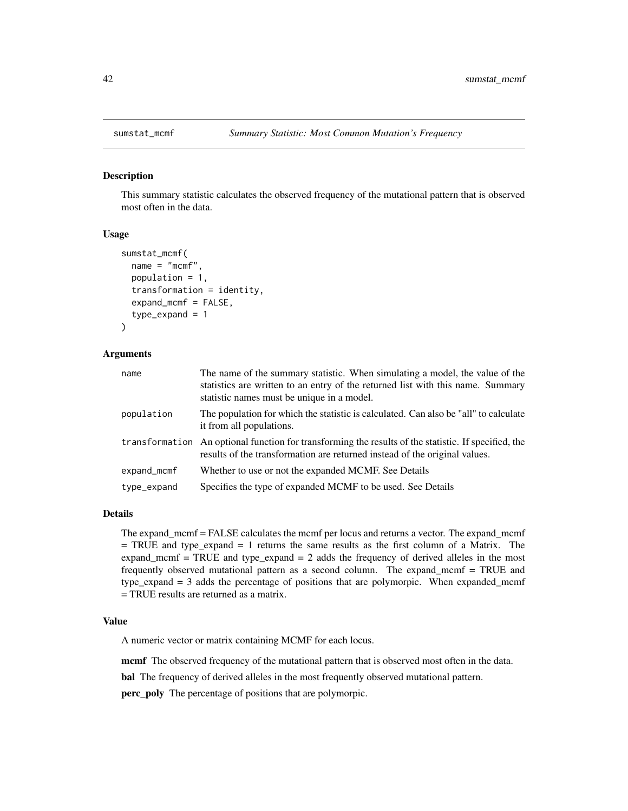#### Description

This summary statistic calculates the observed frequency of the mutational pattern that is observed most often in the data.

#### Usage

```
sumstat_mcmf(
  name = "mcmf"population = 1,
  transformation = identity,
  expand_mcmf = FALSE,
  type\_expand = 1)
```
## Arguments

| name        | The name of the summary statistic. When simulating a model, the value of the<br>statistics are written to an entry of the returned list with this name. Summary<br>statistic names must be unique in a model. |
|-------------|---------------------------------------------------------------------------------------------------------------------------------------------------------------------------------------------------------------|
| population  | The population for which the statistic is calculated. Can also be "all" to calculate<br>it from all populations.                                                                                              |
|             | transformation An optional function for transforming the results of the statistic. If specified, the<br>results of the transformation are returned instead of the original values.                            |
| expand_mcmf | Whether to use or not the expanded MCMF. See Details                                                                                                                                                          |
| type_expand | Specifies the type of expanded MCMF to be used. See Details                                                                                                                                                   |

## Details

The expand\_mcmf = FALSE calculates the mcmf per locus and returns a vector. The expand\_mcmf  $=$  TRUE and type\_expand  $= 1$  returns the same results as the first column of a Matrix. The expand\_mcmf = TRUE and type\_expand = 2 adds the frequency of derived alleles in the most frequently observed mutational pattern as a second column. The expand\_mcmf = TRUE and type\_expand = 3 adds the percentage of positions that are polymorpic. When expanded\_mcmf = TRUE results are returned as a matrix.

#### Value

A numeric vector or matrix containing MCMF for each locus.

mcmf The observed frequency of the mutational pattern that is observed most often in the data.

bal The frequency of derived alleles in the most frequently observed mutational pattern.

perc\_poly The percentage of positions that are polymorpic.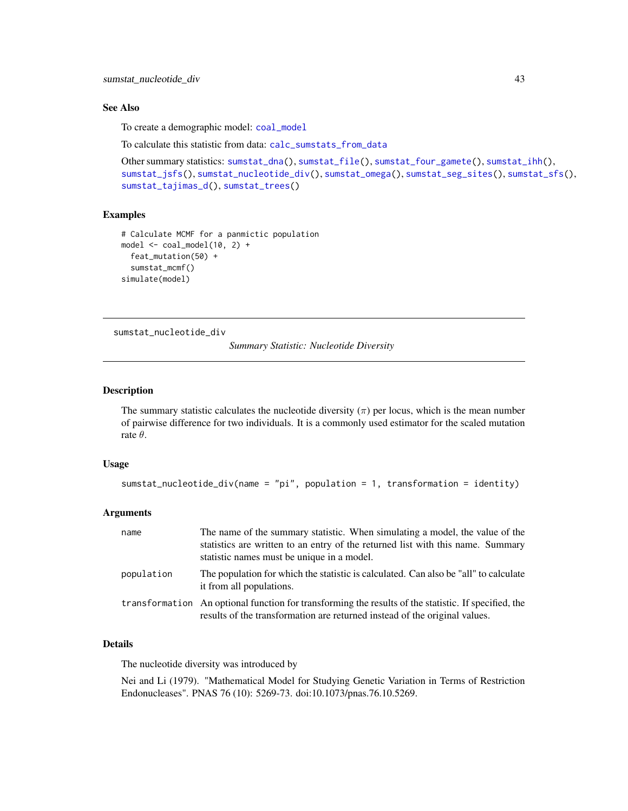#### <span id="page-42-0"></span>See Also

To create a demographic model: [coal\\_model](#page-4-2)

To calculate this statistic from data: [calc\\_sumstats\\_from\\_data](#page-3-1)

```
Other summary statistics: sumstat_dna(), sumstat_file(), sumstat_four_gamete(), sumstat_ihh(),
sumstat_jsfs(), sumstat_nucleotide_div(), sumstat_omega(), sumstat_seg_sites(), sumstat_sfs(),
sumstat_tajimas_d(), sumstat_trees()
```
## Examples

```
# Calculate MCMF for a panmictic population
model \leq - coal_model(10, 2) +feat_mutation(50) +
  sumstat_mcmf()
simulate(model)
```
<span id="page-42-1"></span>sumstat\_nucleotide\_div

*Summary Statistic: Nucleotide Diversity*

#### Description

The summary statistic calculates the nucleotide diversity  $(\pi)$  per locus, which is the mean number of pairwise difference for two individuals. It is a commonly used estimator for the scaled mutation rate  $\theta$ .

#### Usage

```
sumstat_nucleotide_div(name = "pi", population = 1, transformation = identity)
```
#### Arguments

| name       | The name of the summary statistic. When simulating a model, the value of the<br>statistics are written to an entry of the returned list with this name. Summary<br>statistic names must be unique in a model. |
|------------|---------------------------------------------------------------------------------------------------------------------------------------------------------------------------------------------------------------|
| population | The population for which the statistic is calculated. Can also be "all" to calculate<br>it from all populations.                                                                                              |
|            | transformation An optional function for transforming the results of the statistic. If specified, the<br>results of the transformation are returned instead of the original values.                            |

## Details

The nucleotide diversity was introduced by

Nei and Li (1979). "Mathematical Model for Studying Genetic Variation in Terms of Restriction Endonucleases". PNAS 76 (10): 5269-73. doi:10.1073/pnas.76.10.5269.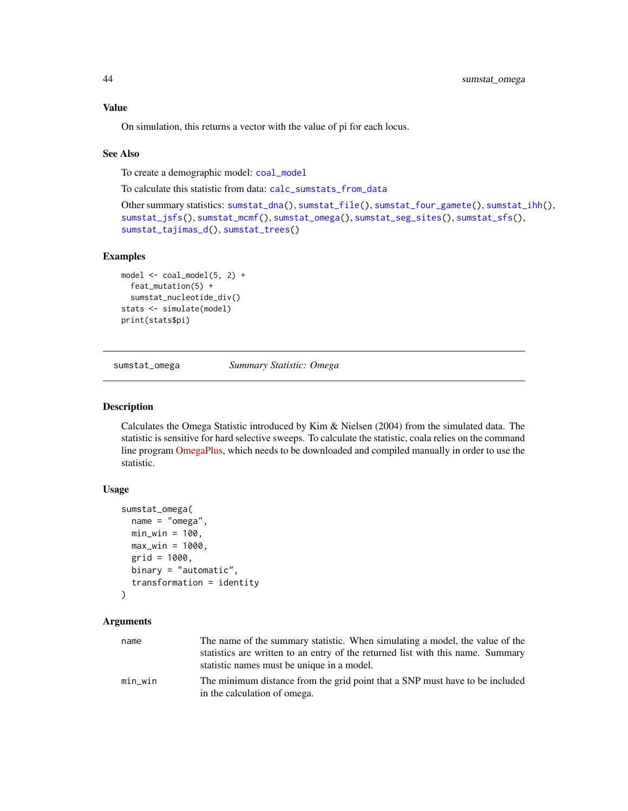## <span id="page-43-0"></span>Value

On simulation, this returns a vector with the value of pi for each locus.

#### See Also

To create a demographic model: [coal\\_model](#page-4-2)

To calculate this statistic from data: [calc\\_sumstats\\_from\\_data](#page-3-1)

```
Other summary statistics: sumstat_dna(), sumstat_file(), sumstat_four_gamete(), sumstat_ihh(),
sumstat_jsfs(), sumstat_mcmf(), sumstat_omega(), sumstat_seg_sites(), sumstat_sfs(),
sumstat_tajimas_d(), sumstat_trees()
```
#### Examples

```
model \leq col_model(5, 2) +feat_mutation(5) +
 sumstat_nucleotide_div()
stats <- simulate(model)
print(stats$pi)
```
<span id="page-43-1"></span>sumstat\_omega *Summary Statistic: Omega*

#### Description

Calculates the Omega Statistic introduced by Kim & Nielsen (2004) from the simulated data. The statistic is sensitive for hard selective sweeps. To calculate the statistic, coala relies on the command line program [OmegaPlus,](http://sco.h-its.org/exelixis/web/software/omegaplus/index.html) which needs to be downloaded and compiled manually in order to use the statistic.

#### Usage

```
sumstat_omega(
  name = "omega",
  min\_win = 100,
  max\_win = 1000,
  grid = 1000,binary = "automatic",
  transformation = identity
)
```
#### Arguments

| name    | The name of the summary statistic. When simulating a model, the value of the    |
|---------|---------------------------------------------------------------------------------|
|         | statistics are written to an entry of the returned list with this name. Summary |
|         | statistic names must be unique in a model.                                      |
| min_win | The minimum distance from the grid point that a SNP must have to be included    |
|         | in the calculation of omega.                                                    |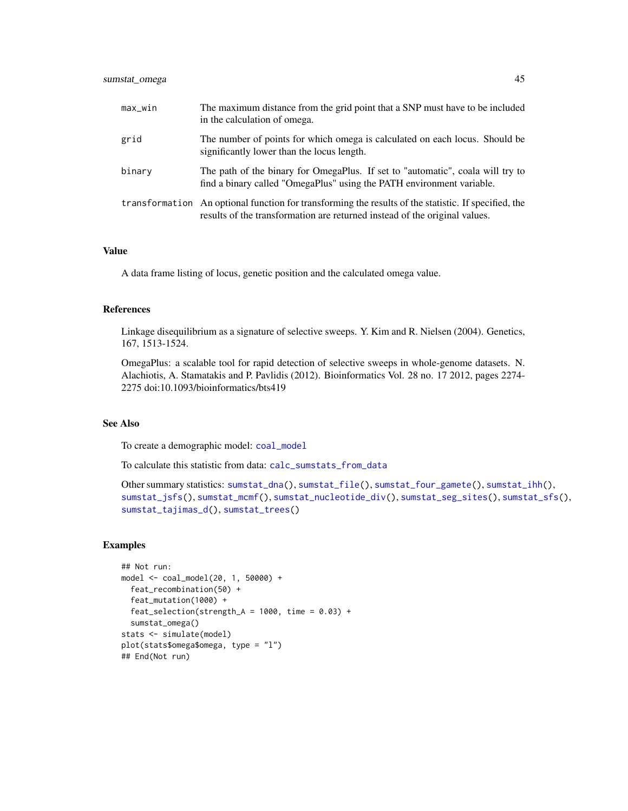<span id="page-44-0"></span>

| max_win | The maximum distance from the grid point that a SNP must have to be included<br>in the calculation of omega.                                                                       |
|---------|------------------------------------------------------------------------------------------------------------------------------------------------------------------------------------|
| grid    | The number of points for which omega is calculated on each locus. Should be<br>significantly lower than the locus length.                                                          |
| binary  | The path of the binary for OmegaPlus. If set to "automatic", coala will try to<br>find a binary called "OmegaPlus" using the PATH environment variable.                            |
|         | transformation An optional function for transforming the results of the statistic. If specified, the<br>results of the transformation are returned instead of the original values. |

#### Value

A data frame listing of locus, genetic position and the calculated omega value.

## References

Linkage disequilibrium as a signature of selective sweeps. Y. Kim and R. Nielsen (2004). Genetics, 167, 1513-1524.

OmegaPlus: a scalable tool for rapid detection of selective sweeps in whole-genome datasets. N. Alachiotis, A. Stamatakis and P. Pavlidis (2012). Bioinformatics Vol. 28 no. 17 2012, pages 2274- 2275 doi:10.1093/bioinformatics/bts419

#### See Also

To create a demographic model: [coal\\_model](#page-4-2)

To calculate this statistic from data: [calc\\_sumstats\\_from\\_data](#page-3-1)

```
Other summary statistics: sumstat_dna(), sumstat_file(), sumstat_four_gamete(), sumstat_ihh(),
sumstat_jsfs(), sumstat_mcmf(), sumstat_nucleotide_div(), sumstat_seg_sites(), sumstat_sfs(),
sumstat_tajimas_d(), sumstat_trees()
```

```
## Not run:
model <- coal_model(20, 1, 50000) +
  feat_recombination(50) +
  feat_mutation(1000) +
  feat\_selection(Stringth_A = 1000, time = 0.03) +sumstat_omega()
stats <- simulate(model)
plot(stats$omega$omega, type = "l")
## End(Not run)
```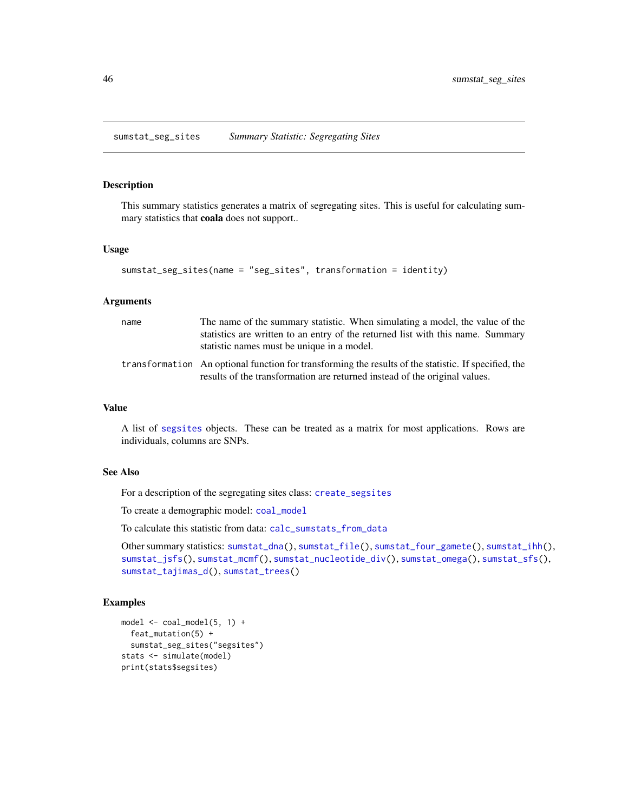<span id="page-45-1"></span><span id="page-45-0"></span>sumstat\_seg\_sites *Summary Statistic: Segregating Sites*

## Description

This summary statistics generates a matrix of segregating sites. This is useful for calculating summary statistics that coala does not support..

#### Usage

```
sumstat_seg_sites(name = "seg_sites", transformation = identity)
```
#### Arguments

| name | The name of the summary statistic. When simulating a model, the value of the<br>statistics are written to an entry of the returned list with this name. Summary<br>statistic names must be unique in a model. |
|------|---------------------------------------------------------------------------------------------------------------------------------------------------------------------------------------------------------------|
|      | transformation An optional function for transforming the results of the statistic. If specified, the<br>results of the transformation are returned instead of the original values.                            |

#### Value

A list of [segsites](#page-7-1) objects. These can be treated as a matrix for most applications. Rows are individuals, columns are SNPs.

## See Also

For a description of the segregating sites class: [create\\_segsites](#page-7-1)

To create a demographic model: [coal\\_model](#page-4-2)

To calculate this statistic from data: [calc\\_sumstats\\_from\\_data](#page-3-1)

```
Other summary statistics: sumstat_dna(), sumstat_file(), sumstat_four_gamete(), sumstat_ihh(),
sumstat_jsfs(), sumstat_mcmf(), sumstat_nucleotide_div(), sumstat_omega(), sumstat_sfs(),
sumstat_tajimas_d(), sumstat_trees()
```

```
model <- coal_model(5, 1) +
  feat_mutation(5) +
  sumstat_seg_sites("segsites")
stats <- simulate(model)
print(stats$segsites)
```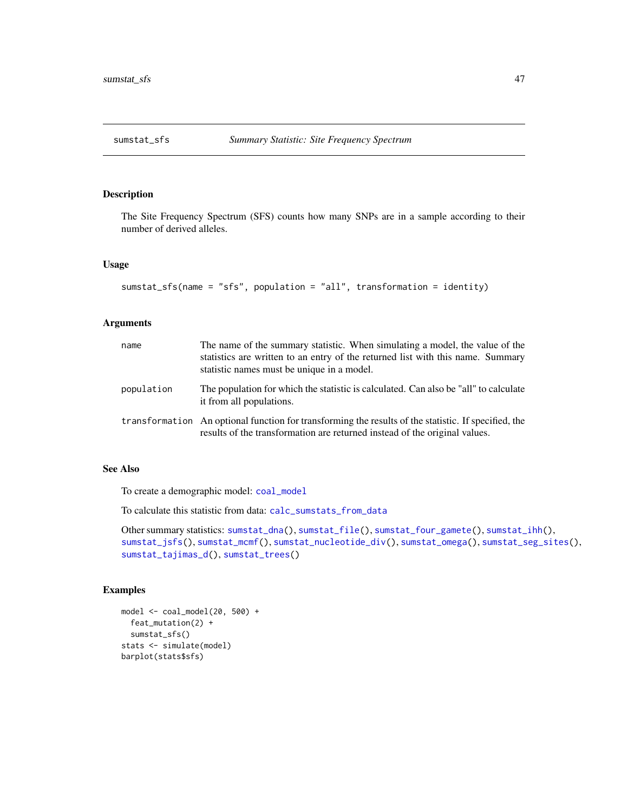<span id="page-46-1"></span><span id="page-46-0"></span>

#### Description

The Site Frequency Spectrum (SFS) counts how many SNPs are in a sample according to their number of derived alleles.

## Usage

```
sumstat_sfs(name = "sfs", population = "all", transformation = identity)
```
## Arguments

| name       | The name of the summary statistic. When simulating a model, the value of the<br>statistics are written to an entry of the returned list with this name. Summary<br>statistic names must be unique in a model. |
|------------|---------------------------------------------------------------------------------------------------------------------------------------------------------------------------------------------------------------|
| population | The population for which the statistic is calculated. Can also be "all" to calculate<br>it from all populations.                                                                                              |
|            | transformation An optional function for transforming the results of the statistic. If specified, the<br>results of the transformation are returned instead of the original values.                            |

## See Also

To create a demographic model: [coal\\_model](#page-4-2)

To calculate this statistic from data: [calc\\_sumstats\\_from\\_data](#page-3-1)

Other summary statistics: [sumstat\\_dna\(](#page-34-1)), [sumstat\\_file\(](#page-35-1)), [sumstat\\_four\\_gamete\(](#page-36-1)), [sumstat\\_ihh\(](#page-38-1)), [sumstat\\_jsfs\(](#page-39-1)), [sumstat\\_mcmf\(](#page-41-1)), [sumstat\\_nucleotide\\_div\(](#page-42-1)), [sumstat\\_omega\(](#page-43-1)), [sumstat\\_seg\\_sites\(](#page-45-1)), [sumstat\\_tajimas\\_d\(](#page-47-1)), [sumstat\\_trees\(](#page-48-1))

```
model \le coal_model(20, 500) +
  feat_mutation(2) +
  sumstat_sfs()
stats <- simulate(model)
barplot(stats$sfs)
```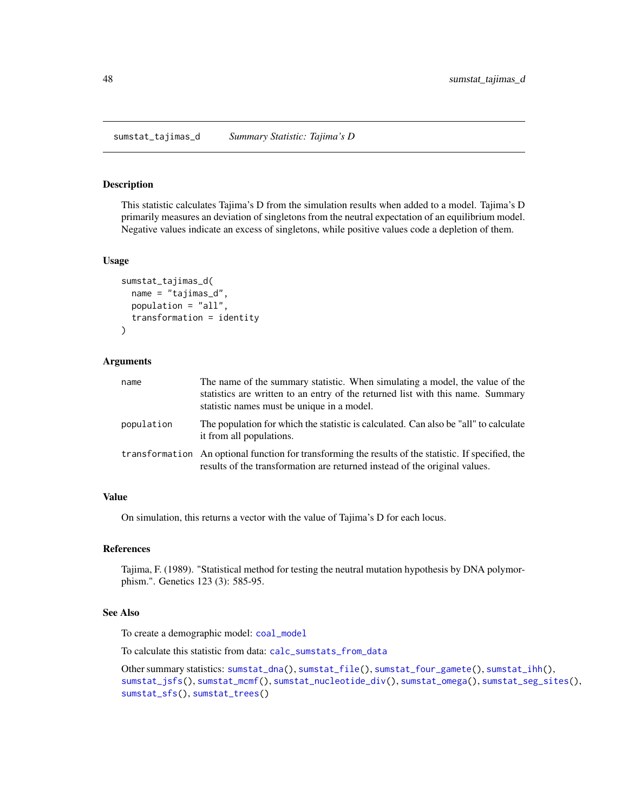#### <span id="page-47-1"></span><span id="page-47-0"></span>Description

This statistic calculates Tajima's D from the simulation results when added to a model. Tajima's D primarily measures an deviation of singletons from the neutral expectation of an equilibrium model. Negative values indicate an excess of singletons, while positive values code a depletion of them.

#### Usage

```
sumstat_tajimas_d(
  name = "tajimas_d",
 population = "all",
  transformation = identity
)
```
#### Arguments

| name       | The name of the summary statistic. When simulating a model, the value of the<br>statistics are written to an entry of the returned list with this name. Summary<br>statistic names must be unique in a model. |
|------------|---------------------------------------------------------------------------------------------------------------------------------------------------------------------------------------------------------------|
| population | The population for which the statistic is calculated. Can also be "all" to calculate<br>it from all populations.                                                                                              |
|            | transformation An optional function for transforming the results of the statistic. If specified, the<br>results of the transformation are returned instead of the original values.                            |

#### Value

On simulation, this returns a vector with the value of Tajima's D for each locus.

#### References

Tajima, F. (1989). "Statistical method for testing the neutral mutation hypothesis by DNA polymorphism.". Genetics 123 (3): 585-95.

## See Also

To create a demographic model: [coal\\_model](#page-4-2)

To calculate this statistic from data: [calc\\_sumstats\\_from\\_data](#page-3-1)

Other summary statistics: [sumstat\\_dna\(](#page-34-1)), [sumstat\\_file\(](#page-35-1)), [sumstat\\_four\\_gamete\(](#page-36-1)), [sumstat\\_ihh\(](#page-38-1)), [sumstat\\_jsfs\(](#page-39-1)), [sumstat\\_mcmf\(](#page-41-1)), [sumstat\\_nucleotide\\_div\(](#page-42-1)), [sumstat\\_omega\(](#page-43-1)), [sumstat\\_seg\\_sites\(](#page-45-1)), [sumstat\\_sfs\(](#page-46-1)), [sumstat\\_trees\(](#page-48-1))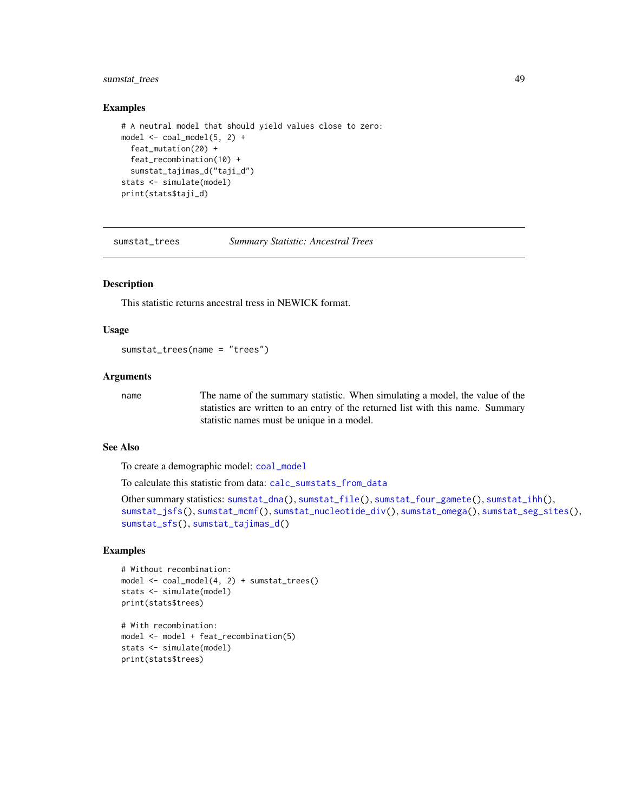## <span id="page-48-0"></span>sumstat\_trees 49

#### Examples

```
# A neutral model that should yield values close to zero:
model \le coal_model(5, 2) +
  feat_mutation(20) +
 feat recombination(10) +
  sumstat_tajimas_d("taji_d")
stats <- simulate(model)
print(stats$taji_d)
```
<span id="page-48-1"></span>sumstat\_trees *Summary Statistic: Ancestral Trees*

#### Description

This statistic returns ancestral tress in NEWICK format.

#### Usage

sumstat\_trees(name = "trees")

## Arguments

name The name of the summary statistic. When simulating a model, the value of the statistics are written to an entry of the returned list with this name. Summary statistic names must be unique in a model.

#### See Also

To create a demographic model: [coal\\_model](#page-4-2)

To calculate this statistic from data: [calc\\_sumstats\\_from\\_data](#page-3-1)

```
Other summary statistics: sumstat_dna(), sumstat_file(), sumstat_four_gamete(), sumstat_ihh(),
sumstat_jsfs(), sumstat_mcmf(), sumstat_nucleotide_div(), sumstat_omega(), sumstat_seg_sites(),
sumstat_sfs(), sumstat_tajimas_d()
```

```
# Without recombination:
model <- coal_model(4, 2) + sumstat_trees()
stats <- simulate(model)
print(stats$trees)
# With recombination:
```

```
model <- model + feat_recombination(5)
stats <- simulate(model)
print(stats$trees)
```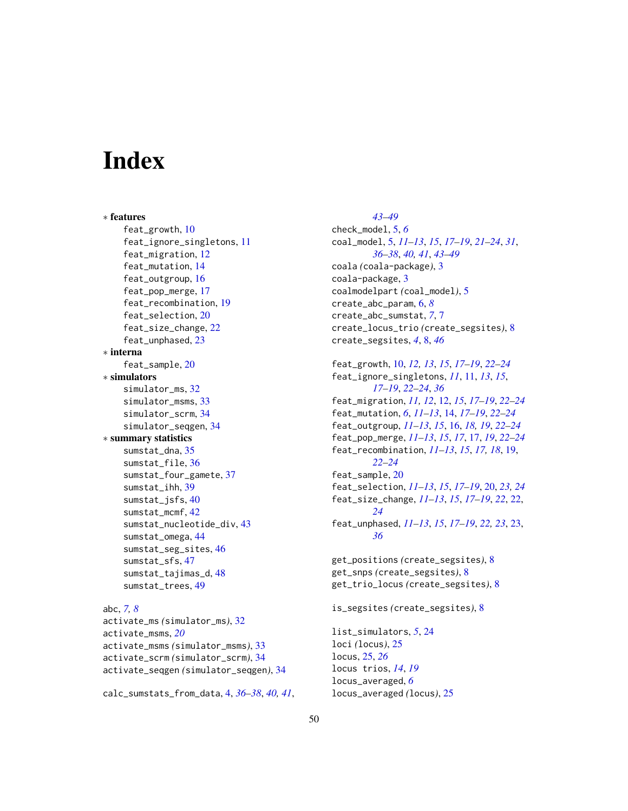# <span id="page-49-0"></span>**Index**

∗ features feat\_growth, [10](#page-9-0) feat\_ignore\_singletons, [11](#page-10-0) feat\_migration, [12](#page-11-0) feat\_mutation, [14](#page-13-0) feat\_outgroup, [16](#page-15-0) feat\_pop\_merge, [17](#page-16-0) feat\_recombination, [19](#page-18-0) feat\_selection, [20](#page-19-0) feat\_size\_change, [22](#page-21-0) feat\_unphased, [23](#page-22-0) ∗ interna feat\_sample, [20](#page-19-0) ∗ simulators simulator\_ms, [32](#page-31-0) simulator\_msms, [33](#page-32-0) simulator\_scrm, [34](#page-33-0) simulator\_seqgen, [34](#page-33-0) ∗ summary statistics sumstat\_dna, [35](#page-34-0) sumstat\_file, [36](#page-35-0) sumstat\_four\_gamete, [37](#page-36-0) sumstat\_ihh, [39](#page-38-0) sumstat\_jsfs, [40](#page-39-0) sumstat\_mcmf, [42](#page-41-0) sumstat\_nucleotide\_div, [43](#page-42-0) sumstat\_omega, [44](#page-43-0) sumstat\_seg\_sites, [46](#page-45-0) sumstat\_sfs, [47](#page-46-0) sumstat\_tajimas\_d, [48](#page-47-0) sumstat\_trees, [49](#page-48-0) abc, *[7,](#page-6-0) [8](#page-7-0)* activate\_ms *(*simulator\_ms*)*, [32](#page-31-0) activate\_msms, *[20](#page-19-0)* activate\_msms *(*simulator\_msms*)*, [33](#page-32-0) activate\_scrm *(*simulator\_scrm*)*, [34](#page-33-0) activate\_seqgen *(*simulator\_seqgen*)*, [34](#page-33-0)

calc\_sumstats\_from\_data, [4,](#page-3-0) *[36–](#page-35-0)[38](#page-37-0)*, *[40,](#page-39-0) [41](#page-40-0)*,

*[43](#page-42-0)[–49](#page-48-0)* check\_model, [5,](#page-4-0) *[6](#page-5-0)* coal\_model, [5,](#page-4-0) *[11](#page-10-0)[–13](#page-12-0)*, *[15](#page-14-0)*, *[17](#page-16-0)[–19](#page-18-0)*, *[21](#page-20-0)[–24](#page-23-0)*, *[31](#page-30-0)*, *[36](#page-35-0)[–38](#page-37-0)*, *[40,](#page-39-0) [41](#page-40-0)*, *[43](#page-42-0)[–49](#page-48-0)* coala *(*coala-package*)*, [3](#page-2-0) coala-package, [3](#page-2-0) coalmodelpart *(*coal\_model*)*, [5](#page-4-0) create\_abc\_param, [6,](#page-5-0) *[8](#page-7-0)* create\_abc\_sumstat, *[7](#page-6-0)*, [7](#page-6-0) create\_locus\_trio *(*create\_segsites*)*, [8](#page-7-0) create\_segsites, *[4](#page-3-0)*, [8,](#page-7-0) *[46](#page-45-0)* feat\_growth, [10,](#page-9-0) *[12,](#page-11-0) [13](#page-12-0)*, *[15](#page-14-0)*, *[17](#page-16-0)[–19](#page-18-0)*, *[22](#page-21-0)[–24](#page-23-0)* feat\_ignore\_singletons, *[11](#page-10-0)*, [11,](#page-10-0) *[13](#page-12-0)*, *[15](#page-14-0)*, *[17](#page-16-0)[–19](#page-18-0)*, *[22](#page-21-0)[–24](#page-23-0)*, *[36](#page-35-0)* feat\_migration, *[11,](#page-10-0) [12](#page-11-0)*, [12,](#page-11-0) *[15](#page-14-0)*, *[17](#page-16-0)[–19](#page-18-0)*, *[22](#page-21-0)[–24](#page-23-0)* feat\_mutation, *[6](#page-5-0)*, *[11](#page-10-0)[–13](#page-12-0)*, [14,](#page-13-0) *[17](#page-16-0)[–19](#page-18-0)*, *[22](#page-21-0)[–24](#page-23-0)* feat\_outgroup, *[11](#page-10-0)[–13](#page-12-0)*, *[15](#page-14-0)*, [16,](#page-15-0) *[18,](#page-17-0) [19](#page-18-0)*, *[22](#page-21-0)[–24](#page-23-0)* feat\_pop\_merge, *[11](#page-10-0)[–13](#page-12-0)*, *[15](#page-14-0)*, *[17](#page-16-0)*, [17,](#page-16-0) *[19](#page-18-0)*, *[22](#page-21-0)[–24](#page-23-0)* feat\_recombination, *[11](#page-10-0)[–13](#page-12-0)*, *[15](#page-14-0)*, *[17,](#page-16-0) [18](#page-17-0)*, [19,](#page-18-0) *[22](#page-21-0)[–24](#page-23-0)* feat\_sample, [20](#page-19-0) feat\_selection, *[11](#page-10-0)[–13](#page-12-0)*, *[15](#page-14-0)*, *[17–](#page-16-0)[19](#page-18-0)*, [20,](#page-19-0) *[23,](#page-22-0) [24](#page-23-0)* feat\_size\_change, *[11](#page-10-0)[–13](#page-12-0)*, *[15](#page-14-0)*, *[17](#page-16-0)[–19](#page-18-0)*, *[22](#page-21-0)*, [22,](#page-21-0) *[24](#page-23-0)* feat\_unphased, *[11](#page-10-0)[–13](#page-12-0)*, *[15](#page-14-0)*, *[17](#page-16-0)[–19](#page-18-0)*, *[22,](#page-21-0) [23](#page-22-0)*, [23,](#page-22-0) *[36](#page-35-0)* get\_positions *(*create\_segsites*)*, [8](#page-7-0) get\_snps *(*create\_segsites*)*, [8](#page-7-0) get\_trio\_locus *(*create\_segsites*)*, [8](#page-7-0) is\_segsites *(*create\_segsites*)*, [8](#page-7-0) list\_simulators, *[5](#page-4-0)*, [24](#page-23-0) loci *(*locus*)*, [25](#page-24-0) locus, [25,](#page-24-0) *[26](#page-25-0)* locus trios, *[14](#page-13-0)*, *[19](#page-18-0)* locus\_averaged, *[6](#page-5-0)*

locus\_averaged *(*locus*)*, [25](#page-24-0)